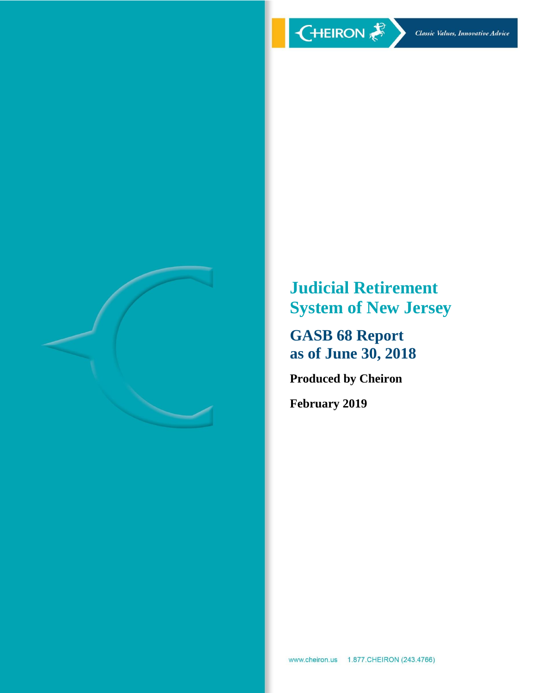

**Judicial Retirement System of New Jersey**

**GASB 68 Report as of June 30, 2018**

**Produced by Cheiron**

**February 2019**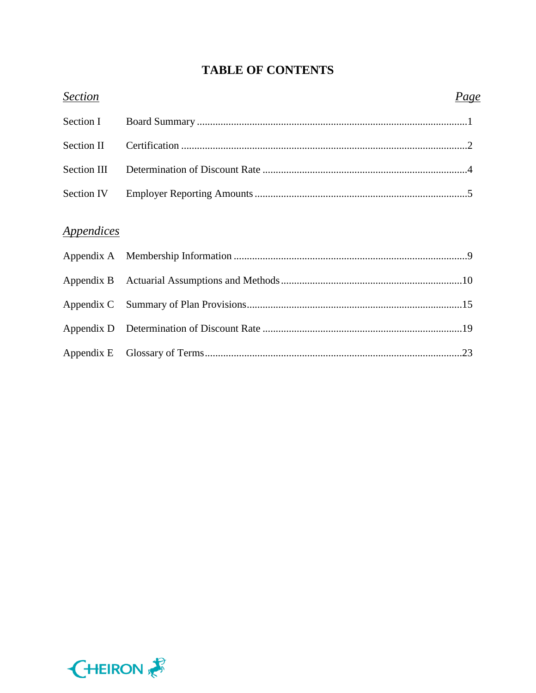# **TABLE OF CONTENTS**

| <b>Section</b>                  | <i>Page</i> |  |
|---------------------------------|-------------|--|
| Section I                       |             |  |
| <b>Section II</b>               |             |  |
| Section III                     |             |  |
| Section IV                      |             |  |
| <i><u><b>Appendices</b></u></i> |             |  |
|                                 |             |  |
|                                 |             |  |
|                                 |             |  |
|                                 |             |  |
|                                 |             |  |

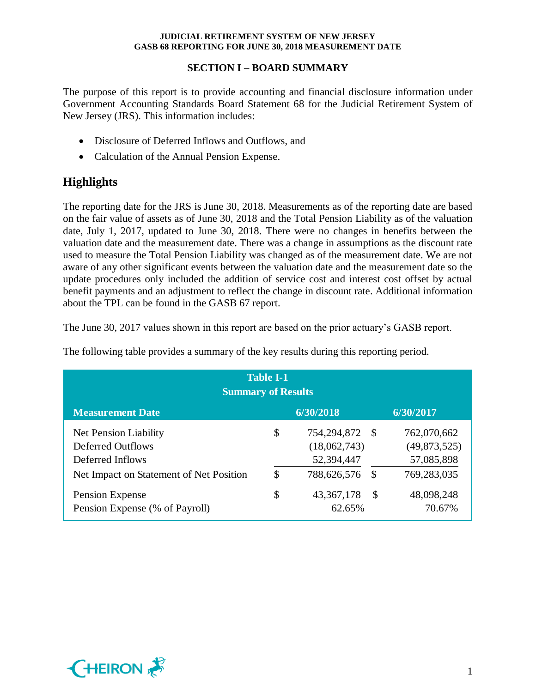# **SECTION I – BOARD SUMMARY**

The purpose of this report is to provide accounting and financial disclosure information under Government Accounting Standards Board Statement 68 for the Judicial Retirement System of New Jersey (JRS). This information includes:

- Disclosure of Deferred Inflows and Outflows, and
- Calculation of the Annual Pension Expense.

# **Highlights**

The reporting date for the JRS is June 30, 2018. Measurements as of the reporting date are based on the fair value of assets as of June 30, 2018 and the Total Pension Liability as of the valuation date, July 1, 2017, updated to June 30, 2018. There were no changes in benefits between the valuation date and the measurement date. There was a change in assumptions as the discount rate used to measure the Total Pension Liability was changed as of the measurement date. We are not aware of any other significant events between the valuation date and the measurement date so the update procedures only included the addition of service cost and interest cost offset by actual benefit payments and an adjustment to reflect the change in discount rate. Additional information about the TPL can be found in the GASB 67 report.

The June 30, 2017 values shown in this report are based on the prior actuary's GASB report.

| <b>Table I-1</b><br><b>Summary of Results</b>                                                             |          |                                                          |                       |                                                          |  |  |  |  |
|-----------------------------------------------------------------------------------------------------------|----------|----------------------------------------------------------|-----------------------|----------------------------------------------------------|--|--|--|--|
| <b>Measurement Date</b>                                                                                   |          | 6/30/2018                                                |                       | 6/30/2017                                                |  |  |  |  |
| Net Pension Liability<br>Deferred Outflows<br>Deferred Inflows<br>Net Impact on Statement of Net Position | \$<br>\$ | 754,294,872<br>(18,062,743)<br>52,394,447<br>788,626,576 | - \$<br><sup>\$</sup> | 762,070,662<br>(49,873,525)<br>57,085,898<br>769,283,035 |  |  |  |  |
| Pension Expense<br>Pension Expense (% of Payroll)                                                         | \$       | 43, 367, 178<br>62.65%                                   | -S                    | 48,098,248<br>70.67%                                     |  |  |  |  |

The following table provides a summary of the key results during this reporting period.

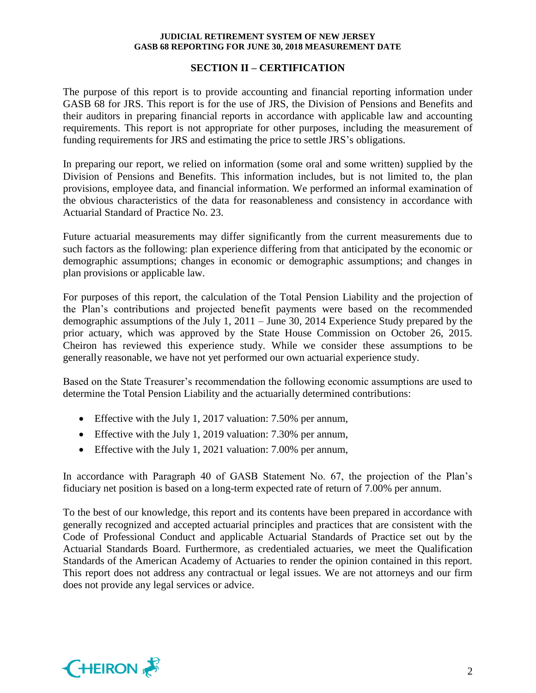# **SECTION II – CERTIFICATION**

The purpose of this report is to provide accounting and financial reporting information under GASB 68 for JRS. This report is for the use of JRS, the Division of Pensions and Benefits and their auditors in preparing financial reports in accordance with applicable law and accounting requirements. This report is not appropriate for other purposes, including the measurement of funding requirements for JRS and estimating the price to settle JRS's obligations.

In preparing our report, we relied on information (some oral and some written) supplied by the Division of Pensions and Benefits. This information includes, but is not limited to, the plan provisions, employee data, and financial information. We performed an informal examination of the obvious characteristics of the data for reasonableness and consistency in accordance with Actuarial Standard of Practice No. 23.

Future actuarial measurements may differ significantly from the current measurements due to such factors as the following: plan experience differing from that anticipated by the economic or demographic assumptions; changes in economic or demographic assumptions; and changes in plan provisions or applicable law.

For purposes of this report, the calculation of the Total Pension Liability and the projection of the Plan's contributions and projected benefit payments were based on the recommended demographic assumptions of the July 1, 2011 – June 30, 2014 Experience Study prepared by the prior actuary, which was approved by the State House Commission on October 26, 2015. Cheiron has reviewed this experience study. While we consider these assumptions to be generally reasonable, we have not yet performed our own actuarial experience study.

Based on the State Treasurer's recommendation the following economic assumptions are used to determine the Total Pension Liability and the actuarially determined contributions:

- Effective with the July 1, 2017 valuation: 7.50% per annum,
- Effective with the July 1, 2019 valuation: 7.30% per annum,
- Effective with the July 1, 2021 valuation: 7.00% per annum,

In accordance with Paragraph 40 of GASB Statement No. 67, the projection of the Plan's fiduciary net position is based on a long-term expected rate of return of 7.00% per annum.

To the best of our knowledge, this report and its contents have been prepared in accordance with generally recognized and accepted actuarial principles and practices that are consistent with the Code of Professional Conduct and applicable Actuarial Standards of Practice set out by the Actuarial Standards Board. Furthermore, as credentialed actuaries, we meet the Qualification Standards of the American Academy of Actuaries to render the opinion contained in this report. This report does not address any contractual or legal issues. We are not attorneys and our firm does not provide any legal services or advice.

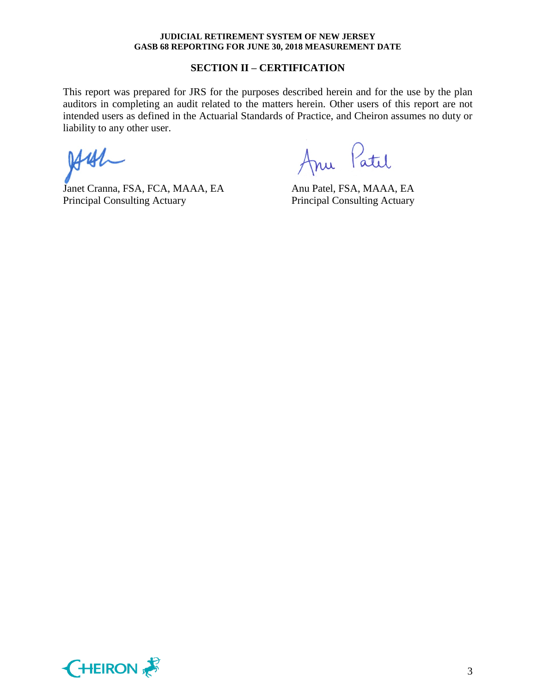### **SECTION II – CERTIFICATION**

This report was prepared for JRS for the purposes described herein and for the use by the plan auditors in completing an audit related to the matters herein. Other users of this report are not intended users as defined in the Actuarial Standards of Practice, and Cheiron assumes no duty or liability to any other user.

 $441$ 

Janet Cranna, FSA, FCA, MAAA, EA Anu Patel, FSA, MAAA, EA Principal Consulting Actuary Principal Consulting Actuary

Anu Patil

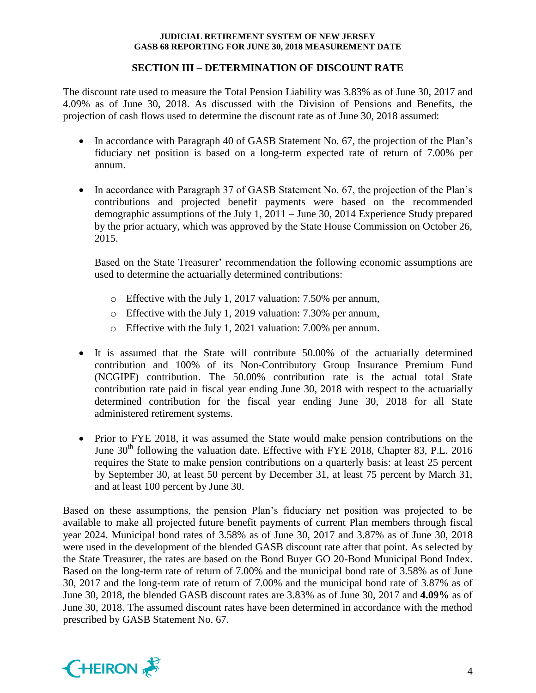# **SECTION III – DETERMINATION OF DISCOUNT RATE**

The discount rate used to measure the Total Pension Liability was 3.83% as of June 30, 2017 and 4.09% as of June 30, 2018. As discussed with the Division of Pensions and Benefits, the projection of cash flows used to determine the discount rate as of June 30, 2018 assumed:

- In accordance with Paragraph 40 of GASB Statement No. 67, the projection of the Plan's fiduciary net position is based on a long-term expected rate of return of 7.00% per annum.
- In accordance with Paragraph 37 of GASB Statement No. 67, the projection of the Plan's contributions and projected benefit payments were based on the recommended demographic assumptions of the July 1, 2011 – June 30, 2014 Experience Study prepared by the prior actuary, which was approved by the State House Commission on October 26, 2015.

Based on the State Treasurer' recommendation the following economic assumptions are used to determine the actuarially determined contributions:

- o Effective with the July 1, 2017 valuation: 7.50% per annum,
- o Effective with the July 1, 2019 valuation: 7.30% per annum,
- o Effective with the July 1, 2021 valuation: 7.00% per annum.
- It is assumed that the State will contribute 50.00% of the actuarially determined contribution and 100% of its Non-Contributory Group Insurance Premium Fund (NCGIPF) contribution. The 50.00% contribution rate is the actual total State contribution rate paid in fiscal year ending June 30, 2018 with respect to the actuarially determined contribution for the fiscal year ending June 30, 2018 for all State administered retirement systems.
- Prior to FYE 2018, it was assumed the State would make pension contributions on the June  $30<sup>th</sup>$  following the valuation date. Effective with FYE 2018, Chapter 83, P.L. 2016 requires the State to make pension contributions on a quarterly basis: at least 25 percent by September 30, at least 50 percent by December 31, at least 75 percent by March 31, and at least 100 percent by June 30.

Based on these assumptions, the pension Plan's fiduciary net position was projected to be available to make all projected future benefit payments of current Plan members through fiscal year 2024. Municipal bond rates of 3.58% as of June 30, 2017 and 3.87% as of June 30, 2018 were used in the development of the blended GASB discount rate after that point. As selected by the State Treasurer, the rates are based on the Bond Buyer GO 20-Bond Municipal Bond Index. Based on the long-term rate of return of 7.00% and the municipal bond rate of 3.58% as of June 30, 2017 and the long-term rate of return of 7.00% and the municipal bond rate of 3.87% as of June 30, 2018, the blended GASB discount rates are 3.83% as of June 30, 2017 and **4.09%** as of June 30, 2018. The assumed discount rates have been determined in accordance with the method prescribed by GASB Statement No. 67.

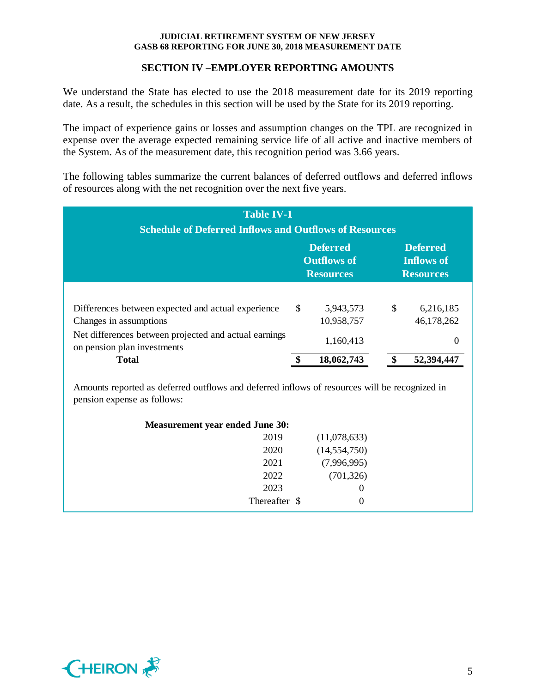# **SECTION IV –EMPLOYER REPORTING AMOUNTS**

We understand the State has elected to use the 2018 measurement date for its 2019 reporting date. As a result, the schedules in this section will be used by the State for its 2019 reporting.

The impact of experience gains or losses and assumption changes on the TPL are recognized in expense over the average expected remaining service life of all active and inactive members of the System. As of the measurement date, this recognition period was 3.66 years.

The following tables summarize the current balances of deferred outflows and deferred inflows of resources along with the net recognition over the next five years.

| <b>Table IV-1</b><br><b>Schedule of Deferred Inflows and Outflows of Resources</b>                                    |    |                         |    |                         |  |  |  |
|-----------------------------------------------------------------------------------------------------------------------|----|-------------------------|----|-------------------------|--|--|--|
| <b>Deferred</b><br><b>Deferred</b><br><b>Outflows of</b><br><b>Inflows of</b><br><b>Resources</b><br><b>Resources</b> |    |                         |    |                         |  |  |  |
| Differences between expected and actual experience<br>Changes in assumptions                                          | \$ | 5,943,573<br>10,958,757 | \$ | 6,216,185<br>46,178,262 |  |  |  |
| Net differences between projected and actual earnings<br>on pension plan investments<br><b>Total</b>                  |    | 1,160,413<br>18,062,743 |    | 0<br>52,394,44          |  |  |  |

Amounts reported as deferred outflows and deferred inflows of resources will be recognized in pension expense as follows:

| <b>Measurement year ended June 30:</b> |                |
|----------------------------------------|----------------|
| 2019                                   | (11,078,633)   |
| 2020                                   | (14, 554, 750) |
| 2021                                   | (7,996,995)    |
| 2022                                   | (701, 326)     |
| 2023                                   | 0              |
| Thereafter \$                          | 0              |

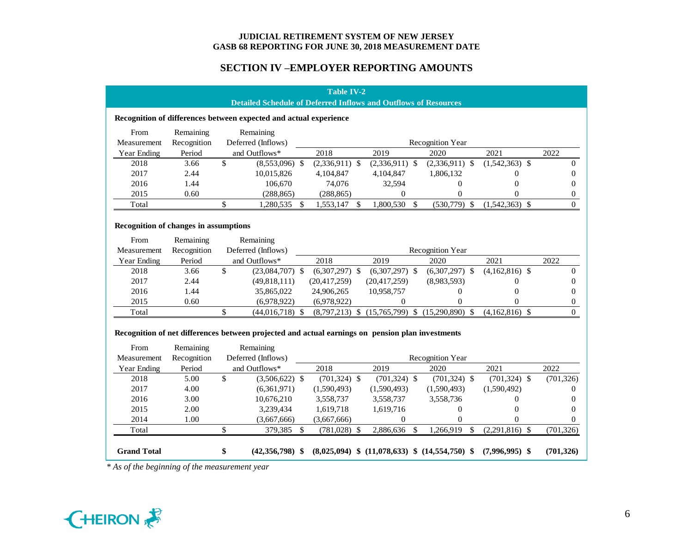# **SECTION IV –EMPLOYER REPORTING AMOUNTS**

|                                              |             |                                        |                                                                                                               |    | <b>Table IV-2</b> |  |                  |               |                                                      |                  |      |                |
|----------------------------------------------|-------------|----------------------------------------|---------------------------------------------------------------------------------------------------------------|----|-------------------|--|------------------|---------------|------------------------------------------------------|------------------|------|----------------|
|                                              |             |                                        | <b>Detailed Schedule of Deferred Inflows and Outflows of Resources</b>                                        |    |                   |  |                  |               |                                                      |                  |      |                |
|                                              |             |                                        | Recognition of differences between expected and actual experience                                             |    |                   |  |                  |               |                                                      |                  |      |                |
| From                                         | Remaining   |                                        | Remaining                                                                                                     |    |                   |  |                  |               |                                                      |                  |      |                |
| Measurement                                  | Recognition |                                        | Deferred (Inflows)                                                                                            |    |                   |  |                  |               | <b>Recognition Year</b>                              |                  |      |                |
| <b>Year Ending</b>                           | Period      |                                        | and Outflows*                                                                                                 |    | 2018              |  | 2019             |               | 2020                                                 | 2021             | 2022 |                |
| 2018                                         | 3.66        | \$                                     | $(8,553,096)$ \$                                                                                              |    | $(2,336,911)$ \$  |  | $(2,336,911)$ \$ |               | $(2,336,911)$ \$                                     | $(1,542,363)$ \$ |      | $\Omega$       |
| 2017                                         | 2.44        |                                        | 10,015,826                                                                                                    |    | 4,104,847         |  | 4,104,847        |               | 1,806,132                                            | 0                |      | $\Omega$       |
| 2016                                         | 1.44        |                                        | 106,670                                                                                                       |    | 74,076            |  | 32,594           |               | $\theta$                                             | $\overline{0}$   |      | 0              |
| 2015                                         | 0.60        |                                        | (288, 865)                                                                                                    |    | (288, 865)        |  | $\overline{0}$   |               | $\mathbf{0}$                                         | 0                |      | $\overline{0}$ |
| Total                                        |             | \$                                     | 1,280,535                                                                                                     | \$ | 1,553,147 \$      |  | 1,800,530        | $\mathcal{S}$ | $(530,779)$ \$                                       | $(1,542,363)$ \$ |      | $\Omega$       |
|                                              |             |                                        |                                                                                                               |    |                   |  |                  |               |                                                      |                  |      |                |
| <b>Recognition of changes in assumptions</b> |             |                                        |                                                                                                               |    |                   |  |                  |               |                                                      |                  |      |                |
| From                                         | Remaining   |                                        | Remaining                                                                                                     |    |                   |  |                  |               |                                                      |                  |      |                |
| Measurement                                  | Recognition | Deferred (Inflows)<br>Recognition Year |                                                                                                               |    |                   |  |                  |               |                                                      |                  |      |                |
| <b>Year Ending</b>                           | Period      |                                        | and Outflows*                                                                                                 |    | 2018              |  | 2019             |               | 2020                                                 | 2021             | 2022 |                |
| 2018                                         | 3.66        | \$                                     | $(23,084,707)$ \$                                                                                             |    | $(6,307,297)$ \$  |  | $(6,307,297)$ \$ |               | $(6,307,297)$ \$                                     | $(4,162,816)$ \$ |      | $\Omega$       |
| 2017                                         | 2.44        |                                        | (49,818,111)                                                                                                  |    | (20, 417, 259)    |  | (20, 417, 259)   |               | (8,983,593)                                          | 0                |      | 0              |
| 2016                                         | 1.44        |                                        | 35,865,022                                                                                                    |    | 24,906,265        |  | 10,958,757       |               | $\Omega$                                             | $\theta$         |      | 0              |
| 2015                                         | 0.60        |                                        | (6,978,922)                                                                                                   |    | (6,978,922)       |  | $\Omega$         |               | $\Omega$                                             | $\Omega$         |      | $\overline{0}$ |
| Total                                        |             | \$                                     | $(44,016,718)$ \$                                                                                             |    |                   |  |                  |               | $(8,797,213)$ \$ $(15,765,799)$ \$ $(15,290,890)$ \$ | $(4,162,816)$ \$ |      | $\Omega$       |
| From                                         | Remaining   |                                        | Recognition of net differences between projected and actual earnings on pension plan investments<br>Remaining |    |                   |  |                  |               |                                                      |                  |      |                |
| Measurement                                  | Recognition |                                        | Deferred (Inflows)                                                                                            |    |                   |  |                  |               | <b>Recognition Year</b>                              |                  |      |                |
| Year Ending                                  | Period      |                                        | and Outflows*                                                                                                 |    | 2018              |  | 2019             |               | 2020                                                 | 2021             | 2022 |                |
| 2018                                         | 5.00        | \$                                     | $(3,506,622)$ \$                                                                                              |    | $(701, 324)$ \$   |  | $(701, 324)$ \$  |               | $(701, 324)$ \$                                      | $(701, 324)$ \$  |      | (701, 326)     |
| 2017                                         | 4.00        |                                        | (6,361,971)                                                                                                   |    | (1,590,493)       |  | (1,590,493)      |               | (1,590,493)                                          | (1,590,492)      |      | $\Omega$       |
| 2016                                         | 3.00        |                                        | 10,676,210                                                                                                    |    | 3,558,737         |  | 3,558,737        |               | 3,558,736                                            | 0                |      | 0              |
| 2015                                         | 2.00        |                                        | 3,239,434                                                                                                     |    | 1,619,718         |  | 1,619,716        |               | $\Omega$                                             | $\theta$         |      | 0              |
| 2014                                         | 1.00        |                                        | (3,667,666)                                                                                                   |    | (3,667,666)       |  | $\theta$         |               | $\Omega$                                             | 0                |      | 0              |
| Total                                        |             | \$                                     | 379,385                                                                                                       | \$ | $(781,028)$ \$    |  | 2,886,636        | $\mathcal{S}$ | 1,266,919<br>\$                                      | $(2,291,816)$ \$ |      | (701, 326)     |
| <b>Grand Total</b>                           |             | \$                                     | $(42,356,798)$ \$                                                                                             |    |                   |  |                  |               | $(8,025,094)$ \$ $(11,078,633)$ \$ $(14,554,750)$ \$ | $(7,996,995)$ \$ |      | (701, 326)     |

*\* As of the beginning of the measurement year*

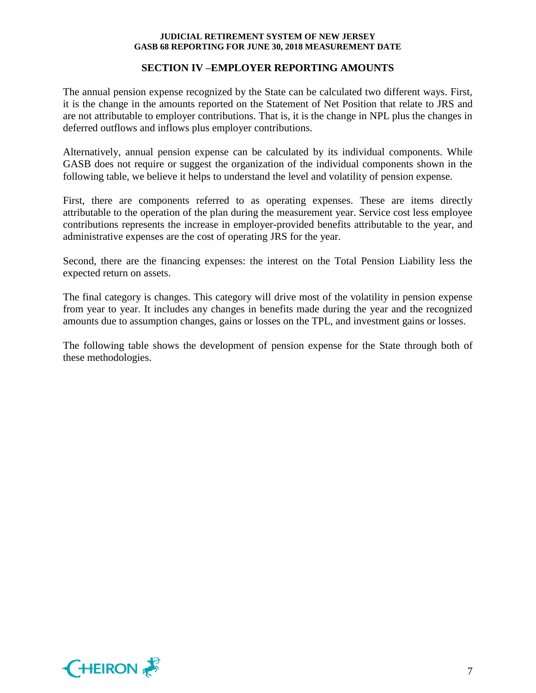# **SECTION IV –EMPLOYER REPORTING AMOUNTS**

The annual pension expense recognized by the State can be calculated two different ways. First, it is the change in the amounts reported on the Statement of Net Position that relate to JRS and are not attributable to employer contributions. That is, it is the change in NPL plus the changes in deferred outflows and inflows plus employer contributions.

Alternatively, annual pension expense can be calculated by its individual components. While GASB does not require or suggest the organization of the individual components shown in the following table, we believe it helps to understand the level and volatility of pension expense.

First, there are components referred to as operating expenses. These are items directly attributable to the operation of the plan during the measurement year. Service cost less employee contributions represents the increase in employer-provided benefits attributable to the year, and administrative expenses are the cost of operating JRS for the year.

Second, there are the financing expenses: the interest on the Total Pension Liability less the expected return on assets.

The final category is changes. This category will drive most of the volatility in pension expense from year to year. It includes any changes in benefits made during the year and the recognized amounts due to assumption changes, gains or losses on the TPL, and investment gains or losses.

The following table shows the development of pension expense for the State through both of these methodologies.

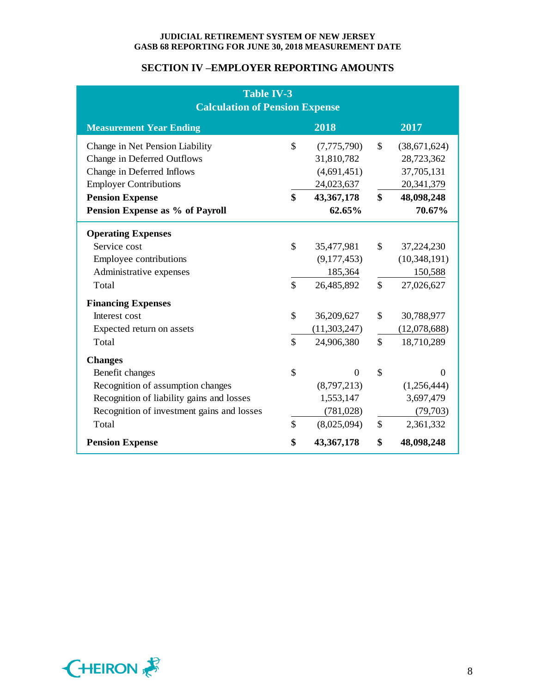# **SECTION IV –EMPLOYER REPORTING AMOUNTS**

| <b>Table IV-3</b><br><b>Calculation of Pension Expense</b> |                    |                |                        |              |  |  |  |
|------------------------------------------------------------|--------------------|----------------|------------------------|--------------|--|--|--|
| <b>Measurement Year Ending</b>                             |                    | 2018           |                        | 2017         |  |  |  |
| Change in Net Pension Liability                            | \$                 | (7,775,790)    | $\mathbb{S}$           | (38,671,624) |  |  |  |
| Change in Deferred Outflows                                |                    | 31,810,782     |                        | 28,723,362   |  |  |  |
| Change in Deferred Inflows                                 |                    | (4,691,451)    |                        | 37,705,131   |  |  |  |
| <b>Employer Contributions</b>                              |                    | 24,023,637     |                        | 20,341,379   |  |  |  |
| <b>Pension Expense</b>                                     | $\mathbf{\$}$      | 43,367,178     | $\boldsymbol{\hat{S}}$ | 48,098,248   |  |  |  |
| Pension Expense as % of Payroll                            |                    | 62.65%         |                        | 70.67%       |  |  |  |
| <b>Operating Expenses</b>                                  |                    |                |                        |              |  |  |  |
| Service cost                                               | \$                 | 35,477,981     | \$                     | 37,224,230   |  |  |  |
| Employee contributions                                     |                    | (9,177,453)    |                        | (10,348,191) |  |  |  |
| Administrative expenses                                    |                    | 185,364        |                        | 150,588      |  |  |  |
| Total                                                      | \$                 | 26,485,892     | $\mathbb{S}$           | 27,026,627   |  |  |  |
| <b>Financing Expenses</b>                                  |                    |                |                        |              |  |  |  |
| Interest cost                                              | \$                 | 36,209,627     | $\mathcal{S}$          | 30,788,977   |  |  |  |
| Expected return on assets                                  |                    | (11, 303, 247) |                        | (12,078,688) |  |  |  |
| Total                                                      | $\mathbf{\hat{S}}$ | 24,906,380     | $\mathbb{S}$           | 18,710,289   |  |  |  |
| <b>Changes</b>                                             |                    |                |                        |              |  |  |  |
| Benefit changes                                            | \$                 | $\Omega$       | $\mathbb{S}$           | $\Omega$     |  |  |  |
| Recognition of assumption changes                          |                    | (8,797,213)    |                        | (1,256,444)  |  |  |  |
| Recognition of liability gains and losses                  |                    | 1,553,147      |                        | 3,697,479    |  |  |  |
| Recognition of investment gains and losses                 |                    | (781, 028)     |                        | (79, 703)    |  |  |  |
| Total                                                      | \$                 | (8,025,094)    | $\mathbb{S}$           | 2,361,332    |  |  |  |
| <b>Pension Expense</b>                                     | \$                 | 43,367,178     | \$                     | 48,098,248   |  |  |  |

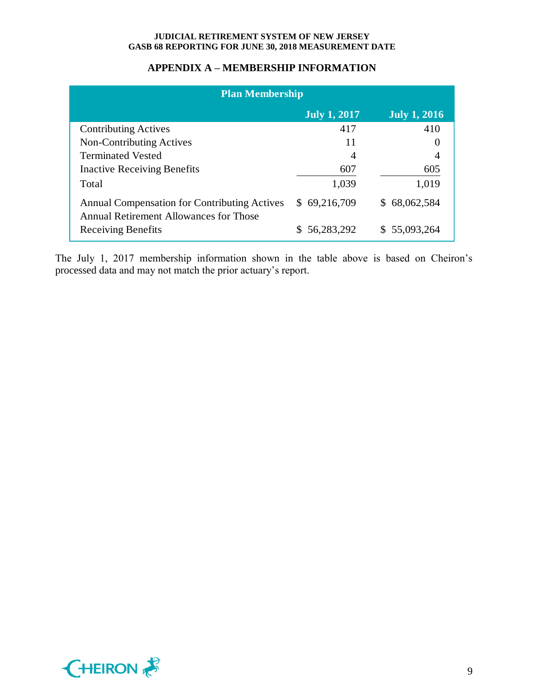# **APPENDIX A – MEMBERSHIP INFORMATION**

| <b>Plan Membership</b>                                                                        |                     |                     |  |  |  |  |  |
|-----------------------------------------------------------------------------------------------|---------------------|---------------------|--|--|--|--|--|
|                                                                                               | <b>July 1, 2017</b> | <b>July 1, 2016</b> |  |  |  |  |  |
| <b>Contributing Actives</b>                                                                   | 417                 | 410                 |  |  |  |  |  |
| Non-Contributing Actives                                                                      | 11                  |                     |  |  |  |  |  |
| <b>Terminated Vested</b>                                                                      | $\overline{A}$      |                     |  |  |  |  |  |
| <b>Inactive Receiving Benefits</b>                                                            | 607                 | 605                 |  |  |  |  |  |
| Total                                                                                         | 1,039               | 1,019               |  |  |  |  |  |
| <b>Annual Compensation for Contributing Actives</b><br>Annual Retirement Allowances for Those | \$69,216,709        | \$68,062,584        |  |  |  |  |  |
| <b>Receiving Benefits</b>                                                                     | 56,283,292          | \$55,093,264        |  |  |  |  |  |

The July 1, 2017 membership information shown in the table above is based on Cheiron's processed data and may not match the prior actuary's report.

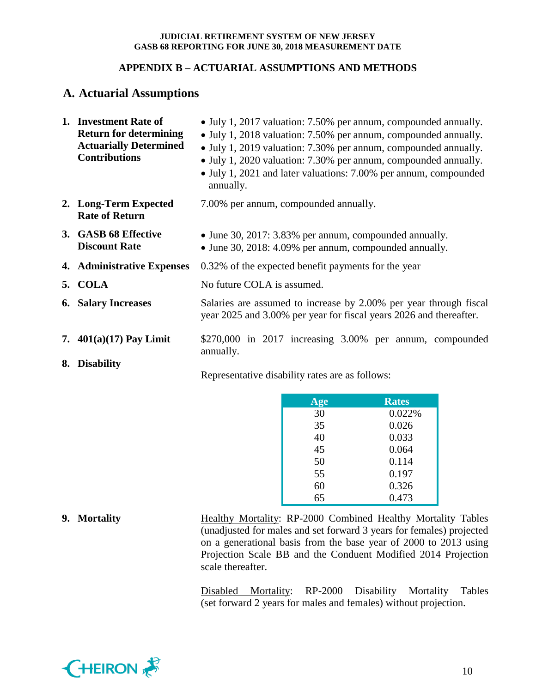# **APPENDIX B – ACTUARIAL ASSUMPTIONS AND METHODS**

# **A. Actuarial Assumptions**

| 1. Investment Rate of<br><b>Return for determining</b><br><b>Actuarially Determined</b><br><b>Contributions</b> | • July 1, 2017 valuation: 7.50% per annum, compounded annually.<br>• July 1, 2018 valuation: 7.50% per annum, compounded annually.<br>• July 1, 2019 valuation: 7.30% per annum, compounded annually.<br>• July 1, 2020 valuation: 7.30% per annum, compounded annually.<br>• July 1, 2021 and later valuations: 7.00% per annum, compounded<br>annually. |  |  |  |  |  |
|-----------------------------------------------------------------------------------------------------------------|-----------------------------------------------------------------------------------------------------------------------------------------------------------------------------------------------------------------------------------------------------------------------------------------------------------------------------------------------------------|--|--|--|--|--|
| 2. Long-Term Expected<br><b>Rate of Return</b>                                                                  | 7.00% per annum, compounded annually.                                                                                                                                                                                                                                                                                                                     |  |  |  |  |  |
| 3. GASB 68 Effective<br><b>Discount Rate</b>                                                                    | • June 30, 2017: 3.83% per annum, compounded annually.<br>• June 30, 2018: 4.09% per annum, compounded annually.                                                                                                                                                                                                                                          |  |  |  |  |  |
| 4. Administrative Expenses                                                                                      | 0.32% of the expected benefit payments for the year                                                                                                                                                                                                                                                                                                       |  |  |  |  |  |
| 5. COLA                                                                                                         | No future COLA is assumed.                                                                                                                                                                                                                                                                                                                                |  |  |  |  |  |
| <b>6.</b> Salary Increases                                                                                      | Salaries are assumed to increase by 2.00% per year through fiscal<br>year 2025 and 3.00% per year for fiscal years 2026 and thereafter.                                                                                                                                                                                                                   |  |  |  |  |  |
| 7. $401(a)(17)$ Pay Limit                                                                                       | $$270,000$ in $2017$ increasing $3.00\%$ per annum, compounded<br>annually.                                                                                                                                                                                                                                                                               |  |  |  |  |  |
| 8. Disability                                                                                                   | Representative disability rates are as follows:                                                                                                                                                                                                                                                                                                           |  |  |  |  |  |

| Age | <b>Rates</b> |
|-----|--------------|
| 30  | 0.022%       |
| 35  | 0.026        |
| 40  | 0.033        |
| 45  | 0.064        |
| 50  | 0.114        |
| 55  | 0.197        |
|     | 0.326        |

0.473

**9. Mortality Healthy Mortality: RP-2000 Combined Healthy Mortality Tables** (unadjusted for males and set forward 3 years for females) projected on a generational basis from the base year of 2000 to 2013 using Projection Scale BB and the Conduent Modified 2014 Projection scale thereafter.

> Disabled Mortality: RP-2000 Disability Mortality Tables (set forward 2 years for males and females) without projection.

65

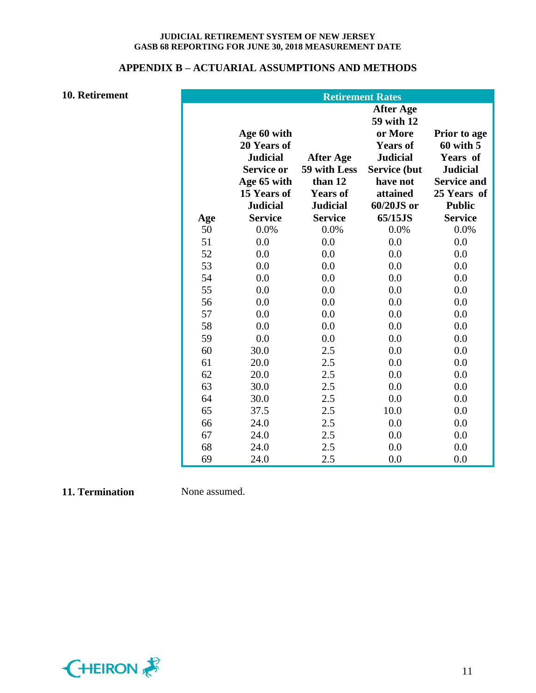# **APPENDIX B – ACTUARIAL ASSUMPTIONS AND METHODS**

# **10. Retirement**

|     |                                                                                                  |                                                                | <b>Retirement Rates</b>                                                                                                        |                                                                                                   |
|-----|--------------------------------------------------------------------------------------------------|----------------------------------------------------------------|--------------------------------------------------------------------------------------------------------------------------------|---------------------------------------------------------------------------------------------------|
|     | Age 60 with<br>20 Years of<br><b>Judicial</b><br><b>Service or</b><br>Age 65 with<br>15 Years of | <b>After Age</b><br>59 with Less<br>than 12<br><b>Years of</b> | <b>After Age</b><br>59 with 12<br>or More<br><b>Years of</b><br><b>Judicial</b><br><b>Service (but</b><br>have not<br>attained | Prior to age<br>$60$ with $5$<br>Years of<br><b>Judicial</b><br><b>Service and</b><br>25 Years of |
| Age | <b>Judicial</b><br><b>Service</b>                                                                | <b>Judicial</b><br><b>Service</b>                              | 60/20JS or<br>65/15JS                                                                                                          | <b>Public</b><br><b>Service</b>                                                                   |
| 50  | 0.0%                                                                                             | 0.0%                                                           | 0.0%                                                                                                                           | 0.0%                                                                                              |
| 51  | 0.0                                                                                              | 0.0                                                            | 0.0                                                                                                                            | 0.0                                                                                               |
| 52  | 0.0                                                                                              | 0.0                                                            | 0.0                                                                                                                            | 0.0                                                                                               |
| 53  | 0.0                                                                                              | 0.0                                                            | 0.0                                                                                                                            | 0.0                                                                                               |
| 54  | 0.0                                                                                              | 0.0                                                            | 0.0                                                                                                                            | 0.0                                                                                               |
| 55  | 0.0                                                                                              | 0.0                                                            | 0.0                                                                                                                            | 0.0                                                                                               |
| 56  | 0.0                                                                                              | 0.0                                                            | 0.0                                                                                                                            | 0.0                                                                                               |
| 57  | 0.0                                                                                              | 0.0                                                            | 0.0                                                                                                                            | 0.0                                                                                               |
| 58  | 0.0                                                                                              | 0.0                                                            | 0.0                                                                                                                            | 0.0                                                                                               |
| 59  | 0.0                                                                                              | 0.0                                                            | 0.0                                                                                                                            | 0.0                                                                                               |
| 60  | 30.0                                                                                             | 2.5                                                            | 0.0                                                                                                                            | 0.0                                                                                               |
| 61  | 20.0                                                                                             | 2.5                                                            | 0.0                                                                                                                            | 0.0                                                                                               |
| 62  | 20.0                                                                                             | 2.5                                                            | 0.0                                                                                                                            | 0.0                                                                                               |
| 63  | 30.0                                                                                             | 2.5                                                            | 0.0                                                                                                                            | 0.0                                                                                               |
| 64  | 30.0                                                                                             | 2.5                                                            | 0.0                                                                                                                            | 0.0                                                                                               |
| 65  | 37.5                                                                                             | 2.5                                                            | 10.0                                                                                                                           | 0.0                                                                                               |
| 66  | 24.0                                                                                             | 2.5                                                            | 0.0                                                                                                                            | 0.0                                                                                               |
| 67  | 24.0                                                                                             | 2.5                                                            | 0.0                                                                                                                            | 0.0                                                                                               |
| 68  | 24.0                                                                                             | 2.5                                                            | 0.0                                                                                                                            | 0.0                                                                                               |
| 69  | 24.0                                                                                             | 2.5                                                            | 0.0                                                                                                                            | 0.0                                                                                               |

# **11. Termination** None assumed.

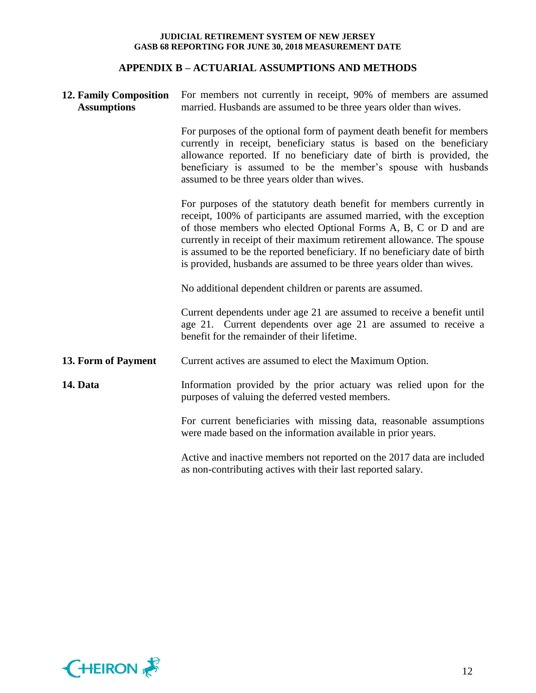# **APPENDIX B – ACTUARIAL ASSUMPTIONS AND METHODS**

| <b>12. Family Composition</b><br><b>Assumptions</b> | For members not currently in receipt, 90% of members are assumed<br>married. Husbands are assumed to be three years older than wives.                                                                                                                                                                                                                                                                                                              |  |  |  |
|-----------------------------------------------------|----------------------------------------------------------------------------------------------------------------------------------------------------------------------------------------------------------------------------------------------------------------------------------------------------------------------------------------------------------------------------------------------------------------------------------------------------|--|--|--|
|                                                     | For purposes of the optional form of payment death benefit for members<br>currently in receipt, beneficiary status is based on the beneficiary<br>allowance reported. If no beneficiary date of birth is provided, the<br>beneficiary is assumed to be the member's spouse with husbands<br>assumed to be three years older than wives.                                                                                                            |  |  |  |
|                                                     | For purposes of the statutory death benefit for members currently in<br>receipt, 100% of participants are assumed married, with the exception<br>of those members who elected Optional Forms A, B, C or D and are<br>currently in receipt of their maximum retirement allowance. The spouse<br>is assumed to be the reported beneficiary. If no beneficiary date of birth<br>is provided, husbands are assumed to be three years older than wives. |  |  |  |
|                                                     | No additional dependent children or parents are assumed.                                                                                                                                                                                                                                                                                                                                                                                           |  |  |  |
|                                                     | Current dependents under age 21 are assumed to receive a benefit until<br>age 21. Current dependents over age 21 are assumed to receive a<br>benefit for the remainder of their lifetime.                                                                                                                                                                                                                                                          |  |  |  |
| 13. Form of Payment                                 | Current actives are assumed to elect the Maximum Option.                                                                                                                                                                                                                                                                                                                                                                                           |  |  |  |
| 14. Data                                            | Information provided by the prior actuary was relied upon for the<br>purposes of valuing the deferred vested members.                                                                                                                                                                                                                                                                                                                              |  |  |  |
|                                                     | For current beneficiaries with missing data, reasonable assumptions<br>were made based on the information available in prior years.                                                                                                                                                                                                                                                                                                                |  |  |  |
|                                                     | Active and inactive members not reported on the 2017 data are included<br>as non-contributing actives with their last reported salary.                                                                                                                                                                                                                                                                                                             |  |  |  |

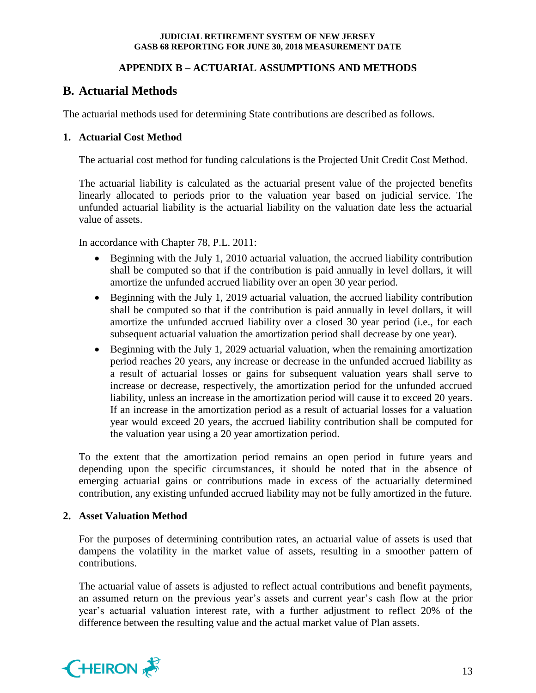# **APPENDIX B – ACTUARIAL ASSUMPTIONS AND METHODS**

# **B. Actuarial Methods**

The actuarial methods used for determining State contributions are described as follows.

# **1. Actuarial Cost Method**

The actuarial cost method for funding calculations is the Projected Unit Credit Cost Method.

The actuarial liability is calculated as the actuarial present value of the projected benefits linearly allocated to periods prior to the valuation year based on judicial service. The unfunded actuarial liability is the actuarial liability on the valuation date less the actuarial value of assets.

In accordance with Chapter 78, P.L. 2011:

- Beginning with the July 1, 2010 actuarial valuation, the accrued liability contribution shall be computed so that if the contribution is paid annually in level dollars, it will amortize the unfunded accrued liability over an open 30 year period.
- Beginning with the July 1, 2019 actuarial valuation, the accrued liability contribution shall be computed so that if the contribution is paid annually in level dollars, it will amortize the unfunded accrued liability over a closed 30 year period (i.e., for each subsequent actuarial valuation the amortization period shall decrease by one year).
- Beginning with the July 1, 2029 actuarial valuation, when the remaining amortization period reaches 20 years, any increase or decrease in the unfunded accrued liability as a result of actuarial losses or gains for subsequent valuation years shall serve to increase or decrease, respectively, the amortization period for the unfunded accrued liability, unless an increase in the amortization period will cause it to exceed 20 years. If an increase in the amortization period as a result of actuarial losses for a valuation year would exceed 20 years, the accrued liability contribution shall be computed for the valuation year using a 20 year amortization period.

To the extent that the amortization period remains an open period in future years and depending upon the specific circumstances, it should be noted that in the absence of emerging actuarial gains or contributions made in excess of the actuarially determined contribution, any existing unfunded accrued liability may not be fully amortized in the future.

# **2. Asset Valuation Method**

For the purposes of determining contribution rates, an actuarial value of assets is used that dampens the volatility in the market value of assets, resulting in a smoother pattern of contributions.

The actuarial value of assets is adjusted to reflect actual contributions and benefit payments, an assumed return on the previous year's assets and current year's cash flow at the prior year's actuarial valuation interest rate, with a further adjustment to reflect 20% of the difference between the resulting value and the actual market value of Plan assets.

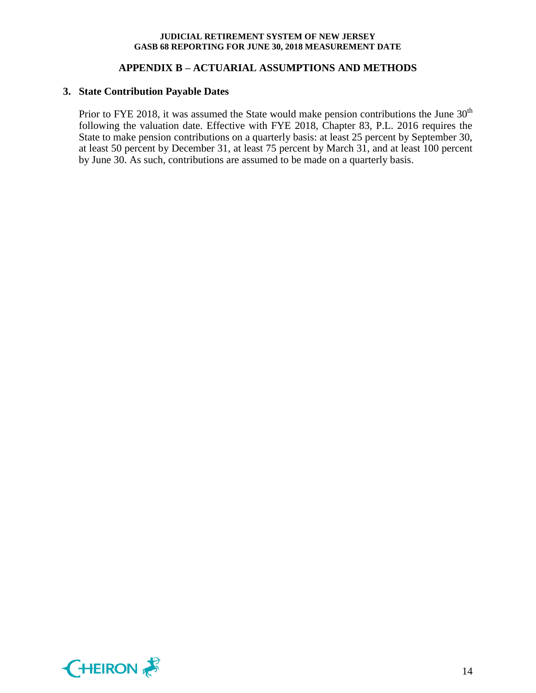# **APPENDIX B – ACTUARIAL ASSUMPTIONS AND METHODS**

### **3. State Contribution Payable Dates**

Prior to FYE 2018, it was assumed the State would make pension contributions the June  $30<sup>th</sup>$ following the valuation date. Effective with FYE 2018, Chapter 83, P.L. 2016 requires the State to make pension contributions on a quarterly basis: at least 25 percent by September 30, at least 50 percent by December 31, at least 75 percent by March 31, and at least 100 percent by June 30. As such, contributions are assumed to be made on a quarterly basis.

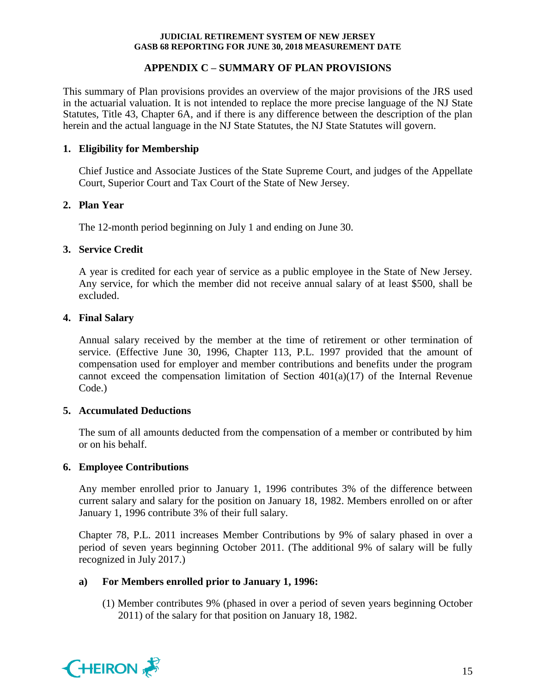# **APPENDIX C – SUMMARY OF PLAN PROVISIONS**

This summary of Plan provisions provides an overview of the major provisions of the JRS used in the actuarial valuation. It is not intended to replace the more precise language of the NJ State Statutes, Title 43, Chapter 6A, and if there is any difference between the description of the plan herein and the actual language in the NJ State Statutes, the NJ State Statutes will govern.

# **1. Eligibility for Membership**

Chief Justice and Associate Justices of the State Supreme Court, and judges of the Appellate Court, Superior Court and Tax Court of the State of New Jersey.

# **2. Plan Year**

The 12-month period beginning on July 1 and ending on June 30.

# **3. Service Credit**

A year is credited for each year of service as a public employee in the State of New Jersey. Any service, for which the member did not receive annual salary of at least \$500, shall be excluded.

# **4. Final Salary**

Annual salary received by the member at the time of retirement or other termination of service. (Effective June 30, 1996, Chapter 113, P.L. 1997 provided that the amount of compensation used for employer and member contributions and benefits under the program cannot exceed the compensation limitation of Section 401(a)(17) of the Internal Revenue Code.)

# **5. Accumulated Deductions**

The sum of all amounts deducted from the compensation of a member or contributed by him or on his behalf.

# **6. Employee Contributions**

Any member enrolled prior to January 1, 1996 contributes 3% of the difference between current salary and salary for the position on January 18, 1982. Members enrolled on or after January 1, 1996 contribute 3% of their full salary.

Chapter 78, P.L. 2011 increases Member Contributions by 9% of salary phased in over a period of seven years beginning October 2011. (The additional 9% of salary will be fully recognized in July 2017.)

# **a) For Members enrolled prior to January 1, 1996:**

(1) Member contributes 9% (phased in over a period of seven years beginning October 2011) of the salary for that position on January 18, 1982.

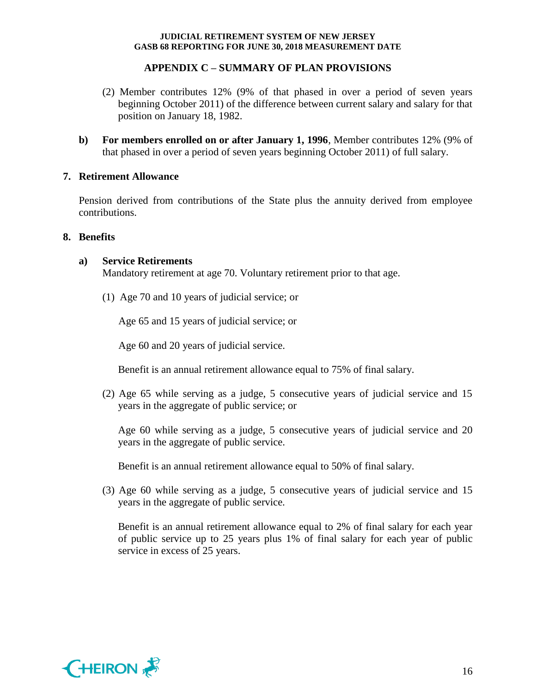# **APPENDIX C – SUMMARY OF PLAN PROVISIONS**

- (2) Member contributes 12% (9% of that phased in over a period of seven years beginning October 2011) of the difference between current salary and salary for that position on January 18, 1982.
- **b) For members enrolled on or after January 1, 1996**, Member contributes 12% (9% of that phased in over a period of seven years beginning October 2011) of full salary.

# **7. Retirement Allowance**

Pension derived from contributions of the State plus the annuity derived from employee contributions.

# **8. Benefits**

# **a) Service Retirements**

Mandatory retirement at age 70. Voluntary retirement prior to that age.

(1) Age 70 and 10 years of judicial service; or

Age 65 and 15 years of judicial service; or

Age 60 and 20 years of judicial service.

Benefit is an annual retirement allowance equal to 75% of final salary.

(2) Age 65 while serving as a judge, 5 consecutive years of judicial service and 15 years in the aggregate of public service; or

Age 60 while serving as a judge, 5 consecutive years of judicial service and 20 years in the aggregate of public service.

Benefit is an annual retirement allowance equal to 50% of final salary.

(3) Age 60 while serving as a judge, 5 consecutive years of judicial service and 15 years in the aggregate of public service.

Benefit is an annual retirement allowance equal to 2% of final salary for each year of public service up to 25 years plus 1% of final salary for each year of public service in excess of 25 years.

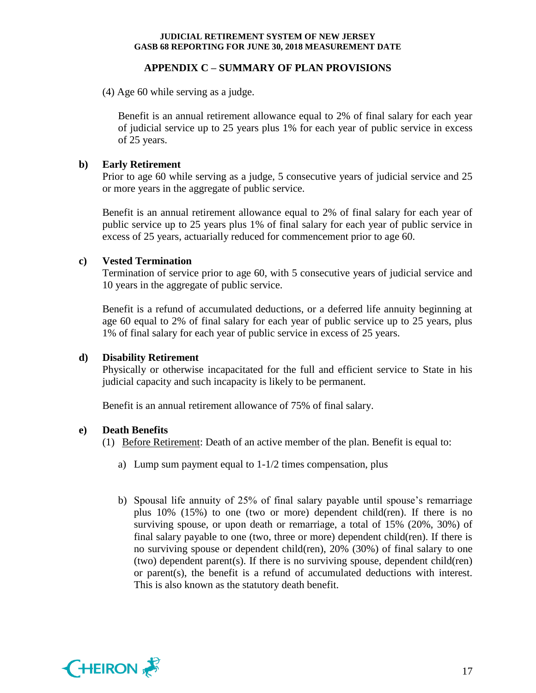# **APPENDIX C – SUMMARY OF PLAN PROVISIONS**

(4) Age 60 while serving as a judge.

Benefit is an annual retirement allowance equal to 2% of final salary for each year of judicial service up to 25 years plus 1% for each year of public service in excess of 25 years.

# **b) Early Retirement**

Prior to age 60 while serving as a judge, 5 consecutive years of judicial service and 25 or more years in the aggregate of public service.

Benefit is an annual retirement allowance equal to 2% of final salary for each year of public service up to 25 years plus 1% of final salary for each year of public service in excess of 25 years, actuarially reduced for commencement prior to age 60.

# **c) Vested Termination**

Termination of service prior to age 60, with 5 consecutive years of judicial service and 10 years in the aggregate of public service.

Benefit is a refund of accumulated deductions, or a deferred life annuity beginning at age 60 equal to 2% of final salary for each year of public service up to 25 years, plus 1% of final salary for each year of public service in excess of 25 years.

# **d) Disability Retirement**

Physically or otherwise incapacitated for the full and efficient service to State in his judicial capacity and such incapacity is likely to be permanent.

Benefit is an annual retirement allowance of 75% of final salary.

# **e) Death Benefits**

(1) Before Retirement: Death of an active member of the plan. Benefit is equal to:

- a) Lump sum payment equal to 1-1/2 times compensation, plus
- b) Spousal life annuity of 25% of final salary payable until spouse's remarriage plus 10% (15%) to one (two or more) dependent child(ren). If there is no surviving spouse, or upon death or remarriage, a total of 15% (20%, 30%) of final salary payable to one (two, three or more) dependent child(ren). If there is no surviving spouse or dependent child(ren), 20% (30%) of final salary to one (two) dependent parent(s). If there is no surviving spouse, dependent child(ren) or parent(s), the benefit is a refund of accumulated deductions with interest. This is also known as the statutory death benefit.

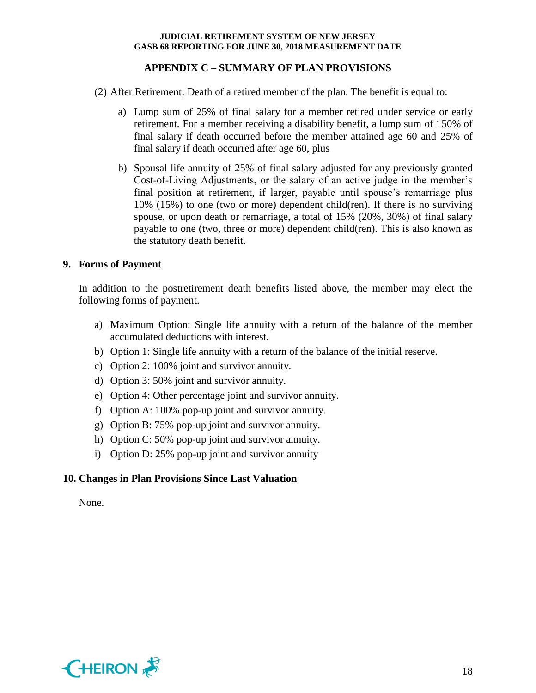# **APPENDIX C – SUMMARY OF PLAN PROVISIONS**

- (2) After Retirement: Death of a retired member of the plan. The benefit is equal to:
	- a) Lump sum of 25% of final salary for a member retired under service or early retirement. For a member receiving a disability benefit, a lump sum of 150% of final salary if death occurred before the member attained age 60 and 25% of final salary if death occurred after age 60, plus
	- b) Spousal life annuity of 25% of final salary adjusted for any previously granted Cost-of-Living Adjustments, or the salary of an active judge in the member's final position at retirement, if larger, payable until spouse's remarriage plus 10% (15%) to one (two or more) dependent child(ren). If there is no surviving spouse, or upon death or remarriage, a total of 15% (20%, 30%) of final salary payable to one (two, three or more) dependent child(ren). This is also known as the statutory death benefit.

# **9. Forms of Payment**

In addition to the postretirement death benefits listed above, the member may elect the following forms of payment.

- a) Maximum Option: Single life annuity with a return of the balance of the member accumulated deductions with interest.
- b) Option 1: Single life annuity with a return of the balance of the initial reserve.
- c) Option 2: 100% joint and survivor annuity.
- d) Option 3: 50% joint and survivor annuity.
- e) Option 4: Other percentage joint and survivor annuity.
- f) Option A: 100% pop-up joint and survivor annuity.
- g) Option B: 75% pop-up joint and survivor annuity.
- h) Option C: 50% pop-up joint and survivor annuity.
- i) Option D: 25% pop-up joint and survivor annuity

# **10. Changes in Plan Provisions Since Last Valuation**

None.

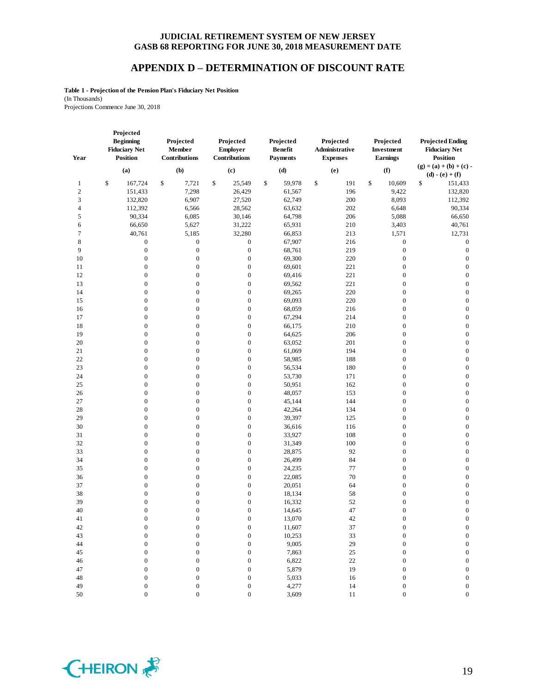### **APPENDIX D – DETERMINATION OF DISCOUNT RATE**

**Table 1 - Projection of the Pension Plan's Fiduciary Net Position** (In Thousands) Projections Commence June 30, 2018

| Year            | Projected<br><b>Beginning</b><br><b>Fiduciary Net</b><br><b>Position</b> | Projected<br>Member<br>Contributions | Projected<br><b>Employer</b><br>Contributions | Projected<br><b>Benefit</b><br><b>Payments</b> | Projected<br>Administrative<br><b>Expenses</b> | Projected<br>Investment<br>Earnings | <b>Projected Ending</b><br><b>Fiduciary Net</b><br><b>Position</b> |
|-----------------|--------------------------------------------------------------------------|--------------------------------------|-----------------------------------------------|------------------------------------------------|------------------------------------------------|-------------------------------------|--------------------------------------------------------------------|
|                 | (a)                                                                      | (b)                                  | (c)                                           | (d)                                            | (e)                                            | (f)                                 | $(g) = (a) + (b) + (c)$                                            |
|                 | 167,724                                                                  | 7,721                                | \$                                            | \$<br>59,978                                   | \$<br>191                                      | \$                                  | $(d) - (e) + (f)$<br>\$                                            |
| 1<br>$\sqrt{2}$ | \$<br>151,433                                                            | \$<br>7,298                          | 25,549<br>26,429                              | 61,567                                         | 196                                            | 10,609<br>9,422                     | 151,433<br>132,820                                                 |
| 3               | 132,820                                                                  | 6,907                                | 27,520                                        | 62,749                                         | 200                                            | 8,093                               | 112,392                                                            |
| $\overline{4}$  | 112,392                                                                  | 6,566                                | 28,562                                        | 63,632                                         | 202                                            | 6,648                               | 90,334                                                             |
| 5               | 90,334                                                                   | 6,085                                | 30,146                                        | 64,798                                         | 206                                            | 5,088                               | 66,650                                                             |
| $\epsilon$      | 66,650                                                                   | 5,627                                | 31,222                                        | 65,931                                         | 210                                            | 3,403                               | 40,761                                                             |
| $\tau$          | 40,761                                                                   | 5,185                                | 32,280                                        | 66,853                                         | 213                                            | 1,571                               | 12,731                                                             |
| $\,$ 8 $\,$     | $\boldsymbol{0}$                                                         | $\boldsymbol{0}$                     | $\boldsymbol{0}$                              | 67,907                                         | 216                                            | $\boldsymbol{0}$                    | $\boldsymbol{0}$                                                   |
| 9               | $\boldsymbol{0}$                                                         | $\boldsymbol{0}$                     | $\boldsymbol{0}$                              | 68,761                                         | 219                                            | $\boldsymbol{0}$                    | $\boldsymbol{0}$                                                   |
| $10\,$          | $\boldsymbol{0}$                                                         | $\boldsymbol{0}$                     | $\boldsymbol{0}$                              | 69,300                                         | 220                                            | $\boldsymbol{0}$                    | $\boldsymbol{0}$                                                   |
| 11              | $\boldsymbol{0}$                                                         | $\boldsymbol{0}$                     | $\boldsymbol{0}$                              | 69,601                                         | 221                                            | $\boldsymbol{0}$                    | $\boldsymbol{0}$                                                   |
| 12              | $\boldsymbol{0}$                                                         | $\boldsymbol{0}$                     | $\boldsymbol{0}$                              | 69,416                                         | 221                                            | $\boldsymbol{0}$                    | $\boldsymbol{0}$                                                   |
| 13              | $\boldsymbol{0}$                                                         | 0                                    | $\boldsymbol{0}$                              | 69,562                                         | 221                                            | $\boldsymbol{0}$                    | $\boldsymbol{0}$                                                   |
| 14              | $\boldsymbol{0}$                                                         | $\boldsymbol{0}$                     | $\boldsymbol{0}$                              | 69,265                                         | 220                                            | $\boldsymbol{0}$                    | $\boldsymbol{0}$                                                   |
| 15              | $\boldsymbol{0}$                                                         | $\boldsymbol{0}$                     | $\boldsymbol{0}$                              | 69,093                                         | 220                                            | $\boldsymbol{0}$                    | $\boldsymbol{0}$                                                   |
| 16              | $\boldsymbol{0}$                                                         | $\boldsymbol{0}$                     | $\boldsymbol{0}$                              | 68,059                                         | 216                                            | $\boldsymbol{0}$                    | $\boldsymbol{0}$                                                   |
| 17              | $\boldsymbol{0}$                                                         | $\boldsymbol{0}$                     | $\boldsymbol{0}$                              | 67,294                                         | 214                                            | $\boldsymbol{0}$                    | $\boldsymbol{0}$                                                   |
| 18              | $\boldsymbol{0}$                                                         | $\boldsymbol{0}$                     | $\boldsymbol{0}$                              | 66,175                                         | 210                                            | $\boldsymbol{0}$                    | $\boldsymbol{0}$                                                   |
| 19              | $\boldsymbol{0}$                                                         | $\boldsymbol{0}$                     | $\boldsymbol{0}$                              | 64,625                                         | 206                                            | $\boldsymbol{0}$                    | $\boldsymbol{0}$                                                   |
| 20              | $\boldsymbol{0}$                                                         | $\boldsymbol{0}$                     | $\boldsymbol{0}$                              | 63,052                                         | 201                                            | $\boldsymbol{0}$                    | $\boldsymbol{0}$                                                   |
| 21              | $\boldsymbol{0}$                                                         | $\boldsymbol{0}$                     | $\boldsymbol{0}$                              | 61,069                                         | 194                                            | $\boldsymbol{0}$                    | $\boldsymbol{0}$                                                   |
| $22\,$          | $\boldsymbol{0}$                                                         | $\boldsymbol{0}$                     | $\boldsymbol{0}$                              | 58,985                                         | 188                                            | $\boldsymbol{0}$                    | $\boldsymbol{0}$                                                   |
| 23              | $\boldsymbol{0}$                                                         | $\boldsymbol{0}$                     | $\boldsymbol{0}$                              | 56,534                                         | 180                                            | $\boldsymbol{0}$                    | $\boldsymbol{0}$                                                   |
| 24              | $\boldsymbol{0}$                                                         | $\boldsymbol{0}$                     | $\boldsymbol{0}$                              | 53,730                                         | 171                                            | $\boldsymbol{0}$                    | $\boldsymbol{0}$                                                   |
| 25              | $\boldsymbol{0}$                                                         | $\boldsymbol{0}$                     | $\boldsymbol{0}$                              | 50,951                                         | 162                                            | $\boldsymbol{0}$                    | $\boldsymbol{0}$                                                   |
| 26              | $\boldsymbol{0}$                                                         | $\boldsymbol{0}$                     | $\boldsymbol{0}$                              | 48,057                                         | 153                                            | $\boldsymbol{0}$                    | $\boldsymbol{0}$                                                   |
| 27              | $\boldsymbol{0}$                                                         | $\boldsymbol{0}$                     | $\boldsymbol{0}$                              | 45,144                                         | 144                                            | $\boldsymbol{0}$                    | $\boldsymbol{0}$                                                   |
| 28              | $\boldsymbol{0}$                                                         | 0                                    | $\boldsymbol{0}$                              | 42,264                                         | 134                                            | $\boldsymbol{0}$                    | $\boldsymbol{0}$                                                   |
| 29              | $\boldsymbol{0}$                                                         | $\boldsymbol{0}$                     | $\boldsymbol{0}$                              | 39,397                                         | 125                                            | $\boldsymbol{0}$                    | $\boldsymbol{0}$                                                   |
| 30              | $\boldsymbol{0}$                                                         | $\boldsymbol{0}$                     | $\boldsymbol{0}$                              | 36,616                                         | 116                                            | $\boldsymbol{0}$                    | $\boldsymbol{0}$                                                   |
| 31              | $\boldsymbol{0}$                                                         | $\boldsymbol{0}$                     | $\boldsymbol{0}$                              | 33,927                                         | 108                                            | $\boldsymbol{0}$                    | $\boldsymbol{0}$                                                   |
| 32              | $\boldsymbol{0}$                                                         | $\boldsymbol{0}$                     | $\boldsymbol{0}$                              | 31,349                                         | 100                                            | $\boldsymbol{0}$                    | $\boldsymbol{0}$                                                   |
| 33              | $\boldsymbol{0}$                                                         | $\boldsymbol{0}$                     | $\boldsymbol{0}$                              | 28,875                                         | 92                                             | $\boldsymbol{0}$                    | $\boldsymbol{0}$                                                   |
| 34              | $\boldsymbol{0}$                                                         | $\boldsymbol{0}$                     | $\boldsymbol{0}$                              | 26,499                                         | 84                                             | $\boldsymbol{0}$                    | $\boldsymbol{0}$                                                   |
| 35              | $\boldsymbol{0}$                                                         | $\boldsymbol{0}$                     | $\boldsymbol{0}$                              | 24,235                                         | 77                                             | $\boldsymbol{0}$                    | $\boldsymbol{0}$                                                   |
| 36              | $\boldsymbol{0}$                                                         | $\boldsymbol{0}$                     | $\boldsymbol{0}$                              | 22,085                                         | 70                                             | $\boldsymbol{0}$                    | $\boldsymbol{0}$                                                   |
| 37              | $\boldsymbol{0}$                                                         | $\boldsymbol{0}$                     | $\boldsymbol{0}$                              | 20,051                                         | 64                                             | $\boldsymbol{0}$                    | $\boldsymbol{0}$                                                   |
| 38              | $\boldsymbol{0}$                                                         | 0                                    | $\boldsymbol{0}$                              | 18,134                                         | 58                                             | $\boldsymbol{0}$                    | $\boldsymbol{0}$                                                   |
| 39              | $\boldsymbol{0}$                                                         | $\mathbf{0}$                         | $\boldsymbol{0}$                              | 16,332                                         | 52                                             | $\boldsymbol{0}$                    | $\boldsymbol{0}$                                                   |
| 40              | $\boldsymbol{0}$                                                         | $\boldsymbol{0}$                     | $\boldsymbol{0}$                              | 14,645                                         | 47                                             | $\boldsymbol{0}$                    | $\boldsymbol{0}$                                                   |
| 41              | $\Omega$                                                                 | $\Omega$                             | $\Omega$                                      | 13,070                                         | 42                                             | $\overline{0}$                      | $\Omega$                                                           |
| $42\,$          | 0                                                                        | 0                                    | $\boldsymbol{0}$                              | 11,607                                         | 37                                             | $\boldsymbol{0}$                    | $\boldsymbol{0}$                                                   |
| 43              | 0                                                                        | $\boldsymbol{0}$                     | $\boldsymbol{0}$                              | 10,253                                         | 33                                             | $\boldsymbol{0}$                    | $\boldsymbol{0}$                                                   |
| $44\,$          | $\mathbf{0}$                                                             | $\overline{0}$                       | $\boldsymbol{0}$                              | 9,005                                          | 29                                             | $\mathbf{0}$                        | $\boldsymbol{0}$                                                   |
| 45              | 0                                                                        | 0                                    | $\boldsymbol{0}$                              | 7,863                                          | $25\,$                                         | 0                                   | $\boldsymbol{0}$                                                   |
| $46\,$          | $\mathbf{0}$                                                             | $\overline{0}$                       | $\boldsymbol{0}$                              | 6,822                                          | $22\,$                                         | 0                                   | $\boldsymbol{0}$                                                   |
| $47\,$          | 0                                                                        | 0                                    | $\boldsymbol{0}$                              | 5,879                                          | 19                                             | 0                                   | $\boldsymbol{0}$                                                   |
| $\sqrt{48}$     | 0                                                                        | 0                                    | $\boldsymbol{0}$                              | 5,033                                          | 16                                             | $\boldsymbol{0}$                    | $\boldsymbol{0}$                                                   |
| 49              | $\boldsymbol{0}$                                                         | $\overline{0}$                       | $\boldsymbol{0}$                              | 4,277                                          | 14                                             | $\boldsymbol{0}$                    | $\boldsymbol{0}$                                                   |
|                 |                                                                          |                                      |                                               |                                                |                                                |                                     |                                                                    |

50 0 0 0 3,609 11 0 0

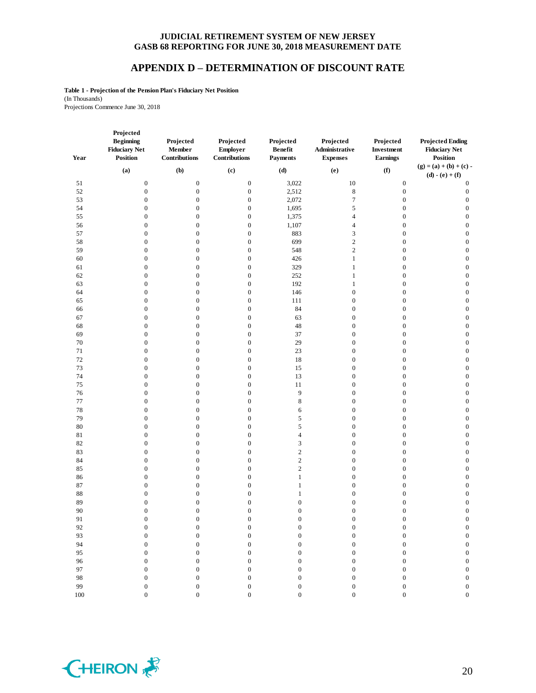# **APPENDIX D – DETERMINATION OF DISCOUNT RATE**

**Table 1 - Projection of the Pension Plan's Fiduciary Net Position** (In Thousands) Projections Commence June 30, 2018

| Year    | Projected<br><b>Beginning</b><br><b>Fiduciary Net</b><br>Position | Projected<br>Member<br>Contributions | Projected<br><b>Employer</b><br>Contributions | Projected<br><b>Benefit</b><br><b>Payments</b> | Projected<br>Administrative<br><b>Expenses</b> | Projected<br>Investment<br><b>Earnings</b> | <b>Projected Ending</b><br><b>Fiduciary Net</b><br><b>Position</b> |
|---------|-------------------------------------------------------------------|--------------------------------------|-----------------------------------------------|------------------------------------------------|------------------------------------------------|--------------------------------------------|--------------------------------------------------------------------|
|         | (a)                                                               | (b)                                  | (c)                                           | (d)                                            | (e)                                            | (f)                                        | $(g) = (a) + (b) + (c) -$<br>$(d) - (e) + (f)$                     |
| 51      | $\boldsymbol{0}$                                                  | $\boldsymbol{0}$                     | $\boldsymbol{0}$                              | 3,022                                          | 10                                             | $\boldsymbol{0}$                           | $\boldsymbol{0}$                                                   |
| 52      | $\boldsymbol{0}$                                                  | $\mathbf{0}$                         | $\boldsymbol{0}$                              | 2,512                                          | $\,$ 8 $\,$                                    | $\mathbf{0}$                               | $\boldsymbol{0}$                                                   |
| 53      | $\boldsymbol{0}$                                                  | $\boldsymbol{0}$                     | $\boldsymbol{0}$                              | 2,072                                          | $\tau$                                         | $\boldsymbol{0}$                           | $\boldsymbol{0}$                                                   |
| 54      | $\boldsymbol{0}$                                                  | $\boldsymbol{0}$                     | $\boldsymbol{0}$                              | 1,695                                          | 5                                              | $\boldsymbol{0}$                           | $\boldsymbol{0}$                                                   |
| 55      | $\boldsymbol{0}$                                                  | $\boldsymbol{0}$                     | $\boldsymbol{0}$                              | 1,375                                          | $\overline{4}$                                 | $\boldsymbol{0}$                           | $\boldsymbol{0}$                                                   |
| 56      | $\boldsymbol{0}$                                                  | $\mathbf{0}$                         | $\boldsymbol{0}$                              | 1,107                                          | $\overline{4}$                                 | $\boldsymbol{0}$                           | $\boldsymbol{0}$                                                   |
| 57      | $\boldsymbol{0}$                                                  | $\mathbf{0}$                         | $\boldsymbol{0}$                              | 883                                            | $\mathfrak{Z}$                                 | $\boldsymbol{0}$                           | $\boldsymbol{0}$                                                   |
| 58      | $\boldsymbol{0}$                                                  | $\boldsymbol{0}$                     | $\boldsymbol{0}$                              | 699                                            | $\sqrt{2}$                                     | $\boldsymbol{0}$                           | $\boldsymbol{0}$                                                   |
| 59      | $\boldsymbol{0}$                                                  | $\boldsymbol{0}$                     | $\boldsymbol{0}$                              | 548                                            | $\sqrt{2}$                                     | $\boldsymbol{0}$                           | $\boldsymbol{0}$                                                   |
| 60      | $\boldsymbol{0}$                                                  | $\boldsymbol{0}$                     | $\boldsymbol{0}$                              | 426                                            | $\,1\,$                                        | $\boldsymbol{0}$                           | $\boldsymbol{0}$                                                   |
| 61      | $\boldsymbol{0}$                                                  | $\boldsymbol{0}$                     | $\boldsymbol{0}$                              | 329                                            | $\mathbf{1}$                                   | $\boldsymbol{0}$                           | $\boldsymbol{0}$                                                   |
| 62      | $\boldsymbol{0}$                                                  | $\boldsymbol{0}$                     | $\boldsymbol{0}$                              | 252                                            | $\mathbf{1}$                                   | $\boldsymbol{0}$                           | $\boldsymbol{0}$                                                   |
| 63      | $\boldsymbol{0}$                                                  | $\boldsymbol{0}$                     | $\boldsymbol{0}$                              | 192                                            | $\mathbf{1}$                                   | $\boldsymbol{0}$                           | $\boldsymbol{0}$                                                   |
| 64      | $\boldsymbol{0}$                                                  | $\boldsymbol{0}$                     | $\boldsymbol{0}$                              | 146                                            | $\boldsymbol{0}$                               | $\boldsymbol{0}$                           | $\boldsymbol{0}$                                                   |
| 65      | $\boldsymbol{0}$                                                  | $\boldsymbol{0}$                     | $\boldsymbol{0}$                              | 111                                            | $\boldsymbol{0}$                               | $\boldsymbol{0}$                           | $\boldsymbol{0}$                                                   |
| 66      | $\boldsymbol{0}$                                                  | $\mathbf{0}$                         | $\boldsymbol{0}$                              | 84                                             | $\boldsymbol{0}$                               | $\boldsymbol{0}$                           | $\boldsymbol{0}$                                                   |
| 67      | $\boldsymbol{0}$                                                  | $\boldsymbol{0}$                     | $\boldsymbol{0}$                              | 63                                             | $\boldsymbol{0}$                               | $\boldsymbol{0}$                           | $\boldsymbol{0}$                                                   |
| 68      | $\boldsymbol{0}$                                                  | $\boldsymbol{0}$                     | $\boldsymbol{0}$                              | 48                                             | $\boldsymbol{0}$                               | $\boldsymbol{0}$                           | $\boldsymbol{0}$                                                   |
| 69      | $\boldsymbol{0}$                                                  | $\boldsymbol{0}$                     | $\boldsymbol{0}$                              | 37                                             | $\boldsymbol{0}$                               | $\boldsymbol{0}$                           | $\boldsymbol{0}$                                                   |
| $70\,$  | $\boldsymbol{0}$                                                  | $\boldsymbol{0}$                     | $\boldsymbol{0}$                              | 29                                             | $\boldsymbol{0}$                               | $\boldsymbol{0}$                           | $\boldsymbol{0}$                                                   |
| 71      | $\boldsymbol{0}$                                                  | $\boldsymbol{0}$                     | $\boldsymbol{0}$                              | 23                                             | $\boldsymbol{0}$                               | $\boldsymbol{0}$                           | $\boldsymbol{0}$                                                   |
| $72\,$  | $\boldsymbol{0}$                                                  | $\boldsymbol{0}$                     | $\boldsymbol{0}$                              | 18                                             | $\boldsymbol{0}$                               | $\boldsymbol{0}$                           | $\boldsymbol{0}$                                                   |
| 73      | $\boldsymbol{0}$                                                  | $\boldsymbol{0}$                     | $\boldsymbol{0}$                              | 15                                             | $\boldsymbol{0}$                               | $\boldsymbol{0}$                           | $\boldsymbol{0}$                                                   |
| 74      | $\boldsymbol{0}$                                                  | $\boldsymbol{0}$                     | $\boldsymbol{0}$                              | 13                                             | $\boldsymbol{0}$                               | $\boldsymbol{0}$                           | $\boldsymbol{0}$                                                   |
| $75\,$  | $\boldsymbol{0}$                                                  | $\boldsymbol{0}$                     | $\boldsymbol{0}$                              | 11                                             | $\boldsymbol{0}$                               | $\boldsymbol{0}$                           | $\boldsymbol{0}$                                                   |
| 76      | $\boldsymbol{0}$                                                  | $\mathbf{0}$                         | $\boldsymbol{0}$                              | $\overline{9}$                                 | $\boldsymbol{0}$                               | $\boldsymbol{0}$                           | $\boldsymbol{0}$                                                   |
| $77 \,$ | $\boldsymbol{0}$                                                  | $\boldsymbol{0}$                     | $\boldsymbol{0}$                              | $\,$ 8 $\,$                                    | $\boldsymbol{0}$                               | $\boldsymbol{0}$                           | $\boldsymbol{0}$                                                   |
| $78\,$  | $\boldsymbol{0}$                                                  | $\boldsymbol{0}$                     | $\boldsymbol{0}$                              | 6                                              | $\boldsymbol{0}$                               | $\boldsymbol{0}$                           | $\boldsymbol{0}$                                                   |
| 79      | $\boldsymbol{0}$                                                  | $\boldsymbol{0}$                     | $\boldsymbol{0}$                              | 5                                              | $\boldsymbol{0}$                               | $\boldsymbol{0}$                           | $\boldsymbol{0}$                                                   |
| $80\,$  | $\boldsymbol{0}$                                                  | $\boldsymbol{0}$                     | $\boldsymbol{0}$                              | 5                                              | $\boldsymbol{0}$                               | $\boldsymbol{0}$                           | $\boldsymbol{0}$                                                   |
| 81      | $\boldsymbol{0}$                                                  | $\mathbf{0}$                         | $\boldsymbol{0}$                              | $\overline{4}$                                 | $\boldsymbol{0}$                               | $\boldsymbol{0}$                           | $\boldsymbol{0}$                                                   |
| 82      | $\boldsymbol{0}$                                                  | $\boldsymbol{0}$                     | $\boldsymbol{0}$                              | 3                                              | $\boldsymbol{0}$                               | $\boldsymbol{0}$                           | $\boldsymbol{0}$                                                   |
| 83      | $\boldsymbol{0}$                                                  | $\boldsymbol{0}$                     | $\boldsymbol{0}$                              | $\sqrt{2}$                                     | $\boldsymbol{0}$                               | $\boldsymbol{0}$                           | $\boldsymbol{0}$                                                   |
| 84      | $\boldsymbol{0}$                                                  | $\boldsymbol{0}$                     | $\boldsymbol{0}$                              | $\sqrt{2}$                                     | $\boldsymbol{0}$                               | $\boldsymbol{0}$                           | $\boldsymbol{0}$                                                   |
| 85      | $\boldsymbol{0}$                                                  | $\boldsymbol{0}$                     | $\boldsymbol{0}$                              | $\sqrt{2}$                                     | $\boldsymbol{0}$                               | $\boldsymbol{0}$                           | $\boldsymbol{0}$                                                   |
| 86      | $\boldsymbol{0}$                                                  | $\mathbf{0}$                         | $\boldsymbol{0}$                              | $\mathbf{1}$                                   | $\boldsymbol{0}$                               | $\boldsymbol{0}$                           | $\boldsymbol{0}$                                                   |
| 87      | $\boldsymbol{0}$                                                  | $\boldsymbol{0}$                     | $\boldsymbol{0}$                              | $\mathbf{1}$                                   | $\boldsymbol{0}$                               | $\boldsymbol{0}$                           | $\boldsymbol{0}$                                                   |
| $88\,$  | $\boldsymbol{0}$                                                  | $\boldsymbol{0}$                     | $\boldsymbol{0}$                              | $\mathbf{1}$                                   | $\boldsymbol{0}$                               | $\boldsymbol{0}$                           | $\boldsymbol{0}$                                                   |
| 89      | $\boldsymbol{0}$                                                  | $\boldsymbol{0}$                     | $\boldsymbol{0}$                              | $\boldsymbol{0}$                               | $\boldsymbol{0}$                               | $\boldsymbol{0}$                           | $\boldsymbol{0}$                                                   |
| 90      | $\boldsymbol{0}$                                                  | $\boldsymbol{0}$                     | $\boldsymbol{0}$                              | $\boldsymbol{0}$                               | $\boldsymbol{0}$                               | $\boldsymbol{0}$                           | $\boldsymbol{0}$                                                   |
| 91      | $\Omega$                                                          |                                      | $\overline{0}$                                | $\Omega$                                       | $\Omega$                                       | $\Omega$                                   | $\overline{0}$                                                     |
| 92      | 0                                                                 | 0                                    | $\boldsymbol{0}$                              | 0                                              | $\boldsymbol{0}$                               | 0                                          | $\boldsymbol{0}$                                                   |
| 93      | $\boldsymbol{0}$                                                  | $\boldsymbol{0}$                     | $\boldsymbol{0}$                              | $\boldsymbol{0}$                               | $\boldsymbol{0}$                               | $\boldsymbol{0}$                           | $\boldsymbol{0}$                                                   |
| 94      | $\boldsymbol{0}$                                                  | $\overline{0}$                       | $\boldsymbol{0}$                              | $\boldsymbol{0}$                               | $\boldsymbol{0}$                               | $\boldsymbol{0}$                           | $\boldsymbol{0}$                                                   |
| 95      | $\boldsymbol{0}$                                                  | $\overline{0}$                       | $\boldsymbol{0}$                              | $\boldsymbol{0}$                               | $\boldsymbol{0}$                               | $\boldsymbol{0}$                           | $\boldsymbol{0}$                                                   |
| 96      | $\boldsymbol{0}$                                                  | $\boldsymbol{0}$                     | $\boldsymbol{0}$                              | $\boldsymbol{0}$                               | $\boldsymbol{0}$                               | $\boldsymbol{0}$                           | $\boldsymbol{0}$                                                   |
| 97      | $\boldsymbol{0}$                                                  | $\overline{0}$                       | $\boldsymbol{0}$                              | $\boldsymbol{0}$                               | $\boldsymbol{0}$                               | $\boldsymbol{0}$                           | $\boldsymbol{0}$                                                   |
| 98      | $\boldsymbol{0}$                                                  | $\boldsymbol{0}$                     | $\boldsymbol{0}$                              | $\boldsymbol{0}$                               | $\boldsymbol{0}$                               | $\boldsymbol{0}$                           | $\boldsymbol{0}$                                                   |
| 99      | $\boldsymbol{0}$                                                  | $\boldsymbol{0}$                     | $\boldsymbol{0}$                              | $\boldsymbol{0}$                               | $\boldsymbol{0}$                               | $\boldsymbol{0}$                           | $\boldsymbol{0}$                                                   |
|         |                                                                   |                                      |                                               |                                                |                                                |                                            |                                                                    |

0 0 0 0 0 0 0

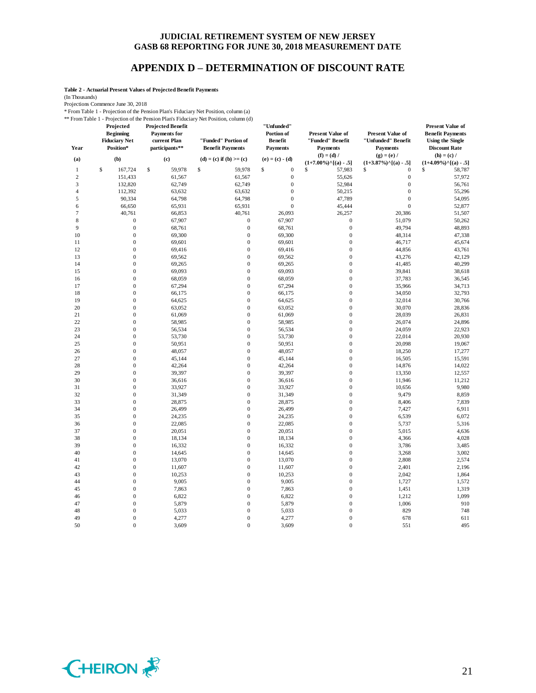# **APPENDIX D – DETERMINATION OF DISCOUNT RATE**

**Table 2 - Actuarial Present Values of Projected Benefit Payments**

(In Thousands)

Projections Commence June 30, 2018

\* From Table 1 - Projection of the Pension Plan's Fiduciary Net Position, column (a) \*\* From Table 1 - Projection of the Pension Plan's Fiduciary Net Position, column (d)

| Year           | Projected<br><b>Beginning</b><br><b>Fiduciary Net</b><br>Position* | <b>Projected Benefit</b><br><b>Payments</b> for<br>current Plan<br>participants** | "Funded" Portion of<br><b>Benefit Payments</b> | "Unfunded"<br>Portion of<br><b>Benefit</b><br><b>Payments</b> | <b>Present Value of</b><br>"Funded" Benefit<br><b>Payments</b><br>$(f) = (d) /$ | <b>Present Value of</b><br>"Unfunded" Benefit<br><b>Payments</b><br>$(g) = (e) /$ | <b>Present Value of</b><br><b>Benefit Payments</b><br><b>Using the Single</b><br><b>Discount Rate</b><br>$(h) = (c) /$ |
|----------------|--------------------------------------------------------------------|-----------------------------------------------------------------------------------|------------------------------------------------|---------------------------------------------------------------|---------------------------------------------------------------------------------|-----------------------------------------------------------------------------------|------------------------------------------------------------------------------------------------------------------------|
| (a)            | (b)                                                                | (c)                                                                               | $(d) = (c)$ if $(b) >= (c)$                    | $(e) = (c) - (d)$                                             | $(1+7.00\%)$ <sup>^</sup> [(a) - .5]                                            | $(1+3.87\%)$ <sup>^</sup> [(a) - .5]                                              | $(1+4.09\%)$ <sup>^</sup> [(a) - .5]                                                                                   |
| $\mathbf{1}$   | \$<br>167,724                                                      | \$<br>59,978                                                                      | \$<br>59,978                                   | \$<br>$\boldsymbol{0}$                                        | \$<br>57,983                                                                    | \$<br>$\mathbf{0}$                                                                | \$<br>58,787                                                                                                           |
| $\mathfrak{2}$ | 151,433                                                            | 61,567                                                                            | 61,567                                         | $\boldsymbol{0}$                                              | 55,626                                                                          | $\boldsymbol{0}$                                                                  | 57,972                                                                                                                 |
| 3              | 132,820                                                            | 62,749                                                                            | 62,749                                         | $\boldsymbol{0}$                                              | 52,984                                                                          | $\boldsymbol{0}$                                                                  | 56,761                                                                                                                 |
| $\overline{4}$ | 112,392                                                            | 63,632                                                                            | 63,632                                         | $\boldsymbol{0}$                                              | 50,215                                                                          | $\boldsymbol{0}$                                                                  | 55,296                                                                                                                 |
| 5              | 90,334                                                             | 64,798                                                                            | 64,798                                         | $\mathbf{0}$                                                  | 47,789                                                                          | $\mathbf{0}$                                                                      | 54,095                                                                                                                 |
| 6              | 66,650                                                             | 65,931                                                                            | 65,931                                         | $\mathbf{0}$                                                  | 45,444                                                                          | $\mathbf{0}$                                                                      | 52,877                                                                                                                 |
| 7              | 40,761                                                             | 66,853                                                                            | 40,761                                         | 26,093                                                        | 26,257                                                                          | 20,386                                                                            | 51,507                                                                                                                 |
| 8              | $\boldsymbol{0}$                                                   | 67,907                                                                            | $\boldsymbol{0}$                               | 67,907                                                        | $\boldsymbol{0}$                                                                | 51,079                                                                            | 50,262                                                                                                                 |
| $\mathbf{Q}$   | $\boldsymbol{0}$                                                   | 68,761                                                                            | $\boldsymbol{0}$                               | 68,761                                                        | $\mathbf{0}$                                                                    | 49,794                                                                            | 48,893                                                                                                                 |
| 10             | $\boldsymbol{0}$                                                   | 69,300                                                                            | $\boldsymbol{0}$                               | 69,300                                                        | $\boldsymbol{0}$                                                                | 48,314                                                                            | 47,338                                                                                                                 |
| 11             | $\mathbf{0}$                                                       | 69,601                                                                            | $\mathbf 0$                                    | 69,601                                                        | $\mathbf{0}$                                                                    | 46,717                                                                            | 45,674                                                                                                                 |
| 12             | $\mathbf{0}$                                                       | 69,416                                                                            | $\mathbf{0}$                                   | 69,416                                                        | $\mathbf{0}$                                                                    | 44,856                                                                            | 43,761                                                                                                                 |
| 13             | $\boldsymbol{0}$                                                   | 69,562                                                                            | $\mathbf{0}$                                   | 69,562                                                        | $\mathbf{0}$                                                                    | 43,276                                                                            | 42,129                                                                                                                 |
| 14             | $\mathbf{0}$                                                       | 69,265                                                                            | $\mathbf 0$                                    | 69,265                                                        | $\mathbf{0}$                                                                    | 41,485                                                                            | 40,299                                                                                                                 |
| 15             | $\mathbf{0}$                                                       | 69,093                                                                            | $\boldsymbol{0}$                               | 69,093                                                        | $\mathbf{0}$                                                                    | 39,841                                                                            | 38,618                                                                                                                 |
| 16             | $\mathbf{0}$                                                       | 68,059                                                                            | $\mathbf{0}$                                   | 68,059                                                        | $\overline{0}$                                                                  | 37,783                                                                            | 36,545                                                                                                                 |
| 17             | $\mathbf{0}$                                                       | 67,294                                                                            | $\boldsymbol{0}$                               | 67,294                                                        | $\mathbf{0}$                                                                    | 35,966                                                                            | 34,713                                                                                                                 |
| 18             | $\mathbf{0}$                                                       | 66,175                                                                            | $\boldsymbol{0}$                               | 66,175                                                        | $\mathbf{0}$                                                                    | 34,050                                                                            | 32,793                                                                                                                 |
| 19             | $\mathbf{0}$                                                       | 64,625                                                                            | $\boldsymbol{0}$                               | 64,625                                                        | $\mathbf{0}$                                                                    | 32,014                                                                            | 30,766                                                                                                                 |
| 20             | $\overline{0}$                                                     | 63,052                                                                            | $\mathbf{0}$                                   | 63,052                                                        | $\overline{0}$                                                                  | 30,070                                                                            | 28,836                                                                                                                 |
| 21             | $\boldsymbol{0}$                                                   | 61,069                                                                            | $\boldsymbol{0}$                               | 61,069                                                        | $\mathbf{0}$                                                                    | 28,039                                                                            | 26,831                                                                                                                 |
| 22             | $\mathbf{0}$                                                       | 58,985                                                                            | $\boldsymbol{0}$                               | 58,985                                                        | $\mathbf{0}$                                                                    | 26,074                                                                            | 24,896                                                                                                                 |
| 23             | $\overline{0}$                                                     | 56,534                                                                            | $\overline{0}$                                 | 56,534                                                        | $\overline{0}$                                                                  | 24,059                                                                            | 22,923                                                                                                                 |
| 24             | $\boldsymbol{0}$                                                   | 53,730                                                                            | $\mathbf{0}$                                   | 53,730                                                        | $\mathbf{0}$                                                                    | 22,014                                                                            | 20,930                                                                                                                 |
| 25             | $\mathbf{0}$                                                       | 50,951                                                                            | $\boldsymbol{0}$                               | 50,951                                                        | $\mathbf{0}$                                                                    | 20,098                                                                            | 19,067                                                                                                                 |
| 26             | $\mathbf{0}$                                                       | 48,057                                                                            | $\mathbf 0$                                    | 48,057                                                        | $\mathbf{0}$                                                                    | 18,250                                                                            | 17,277                                                                                                                 |
| 27             | $\mathbf{0}$                                                       | 45,144                                                                            | $\mathbf{0}$                                   | 45,144                                                        | $\mathbf{0}$                                                                    | 16,505                                                                            | 15,591                                                                                                                 |
| 28             | $\boldsymbol{0}$                                                   | 42,264                                                                            | $\mathbf{0}$                                   | 42,264                                                        | $\mathbf{0}$                                                                    | 14,876                                                                            | 14,022                                                                                                                 |
| 29             | $\mathbf{0}$                                                       | 39,397                                                                            | $\mathbf 0$                                    | 39,397                                                        | $\mathbf{0}$                                                                    | 13,350                                                                            | 12,557                                                                                                                 |
| 30             | $\boldsymbol{0}$                                                   | 36,616                                                                            | $\boldsymbol{0}$                               | 36,616                                                        | $\boldsymbol{0}$                                                                | 11,946                                                                            | 11,212                                                                                                                 |
| 31             | $\overline{0}$                                                     | 33,927                                                                            | $\mathbf{0}$                                   | 33,927                                                        | $\overline{0}$                                                                  | 10,656                                                                            | 9,980                                                                                                                  |
| 32             | $\overline{0}$                                                     | 31,349                                                                            | $\mathbf{0}$                                   | 31,349                                                        | $\mathbf{0}$                                                                    | 9,479                                                                             | 8,859                                                                                                                  |
| 33             | $\boldsymbol{0}$                                                   | 28,875                                                                            | $\boldsymbol{0}$                               | 28,875                                                        | $\mathbf{0}$                                                                    | 8,406                                                                             | 7,839                                                                                                                  |
| 34             | $\mathbf{0}$                                                       | 26,499                                                                            | $\boldsymbol{0}$                               | 26,499                                                        | $\mathbf{0}$                                                                    | 7,427                                                                             | 6,911                                                                                                                  |
| 35             | $\overline{0}$                                                     | 24,235                                                                            | $\mathbf{0}$                                   | 24,235                                                        | $\overline{0}$                                                                  | 6,539                                                                             | 6,072                                                                                                                  |
| 36             | $\boldsymbol{0}$                                                   | 22,085                                                                            | $\boldsymbol{0}$                               | 22,085                                                        | $\mathbf{0}$                                                                    | 5,737                                                                             | 5,316                                                                                                                  |
| 37             | $\mathbf{0}$                                                       | 20,051                                                                            | $\boldsymbol{0}$                               | 20,051                                                        | $\mathbf{0}$                                                                    | 5,015                                                                             | 4,636                                                                                                                  |
| 38             | $\overline{0}$                                                     | 18,134                                                                            | $\overline{0}$                                 | 18,134                                                        | $\overline{0}$                                                                  | 4,366                                                                             | 4,028                                                                                                                  |
| 39             | $\boldsymbol{0}$                                                   | 16,332                                                                            | $\boldsymbol{0}$                               | 16,332                                                        | $\mathbf{0}$                                                                    | 3,786                                                                             | 3,485                                                                                                                  |
| 40             | $\mathbf{0}$                                                       | 14,645                                                                            | $\mathbf 0$                                    | 14,645                                                        | $\mathbf{0}$                                                                    | 3,268                                                                             | 3,002                                                                                                                  |
| 41             | $\mathbf{0}$                                                       | 13,070                                                                            | $\boldsymbol{0}$                               | 13,070                                                        | $\mathbf{0}$                                                                    | 2,808                                                                             | 2,574                                                                                                                  |
| 42             | $\boldsymbol{0}$                                                   | 11,607                                                                            | $\mathbf{0}$                                   | 11,607                                                        | $\mathbf{0}$                                                                    | 2,401                                                                             | 2,196                                                                                                                  |
| 43             | $\mathbf{0}$                                                       | 10,253                                                                            | $\boldsymbol{0}$                               | 10,253                                                        | $\mathbf{0}$                                                                    | 2,042                                                                             | 1,864                                                                                                                  |
| 44             | $\mathbf{0}$                                                       | 9,005                                                                             | $\boldsymbol{0}$                               | 9,005                                                         | $\mathbf{0}$                                                                    | 1,727                                                                             | 1,572                                                                                                                  |
| 45             | $\boldsymbol{0}$                                                   | 7,863                                                                             | $\boldsymbol{0}$                               | 7,863                                                         | $\boldsymbol{0}$                                                                | 1,451                                                                             | 1,319                                                                                                                  |
| 46             | $\overline{0}$                                                     | 6,822                                                                             | $\mathbf{0}$                                   | 6,822                                                         | $\overline{0}$                                                                  | 1,212                                                                             | 1,099                                                                                                                  |
| 47             | $\boldsymbol{0}$                                                   | 5,879                                                                             | $\boldsymbol{0}$                               | 5,879                                                         | $\mathbf{0}$                                                                    | 1,006                                                                             | 910                                                                                                                    |
| 48             | $\mathbf{0}$                                                       | 5,033                                                                             | $\boldsymbol{0}$                               | 5,033                                                         | $\mathbf{0}$                                                                    | 829                                                                               | 748                                                                                                                    |
| 49             | $\overline{0}$                                                     | 4,277                                                                             | $\mathbf{0}$                                   | 4,277                                                         | $\overline{0}$                                                                  | 678                                                                               | 611                                                                                                                    |
| 50             | $\overline{0}$                                                     | 3,609                                                                             | $\mathbf{0}$                                   | 3,609                                                         | $\overline{0}$                                                                  | 551                                                                               | 495                                                                                                                    |
|                |                                                                    |                                                                                   |                                                |                                                               |                                                                                 |                                                                                   |                                                                                                                        |

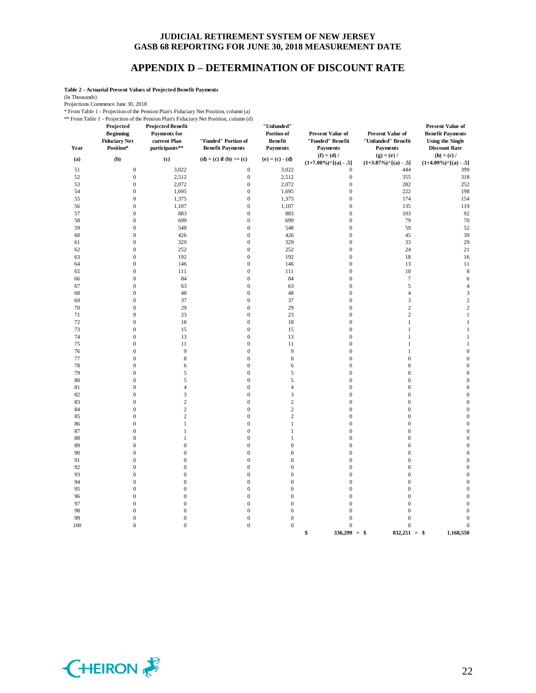# **APPENDIX D – DETERMINATION OF DISCOUNT RATE**

**Table 2 - Actuarial Present Values of Projected Benefit Payments**

(In Thousands)

Projections Commence June 30, 2018

\* From Table 1 - Projection of the Pension Plan's Fiduciary Net Position, column (a)

\*\* From Table 1 - Projection of the Pension Plan's Fiduciary Net Position, column (d)

| Year     | Projected<br><b>Beginning</b><br><b>Fiduciary Net</b><br>Position* | <b>Projected Benefit</b><br><b>Payments</b> for<br>current Plan<br>participants** | From Table 1 - Projection of the Pension Plan's Figuriary Net Position, column (d)<br>"Funded" Portion of<br><b>Benefit Payments</b> | "Unfunded"<br>Portion of<br><b>Benefit</b><br><b>Payments</b> | <b>Present Value of</b><br>"Funded" Benefit<br><b>Payments</b> | Present Value of<br>"Unfunded" Benefit<br>Payments    | <b>Present Value of</b><br><b>Benefit Payments</b><br><b>Using the Single</b><br><b>Discount Rate</b> |
|----------|--------------------------------------------------------------------|-----------------------------------------------------------------------------------|--------------------------------------------------------------------------------------------------------------------------------------|---------------------------------------------------------------|----------------------------------------------------------------|-------------------------------------------------------|-------------------------------------------------------------------------------------------------------|
| (a)      | (b)                                                                | (c)                                                                               | (d) = (c) if (b) >= (c)                                                                                                              | $(e) = (c) - (d)$                                             | $(f) = (d) /$<br>$(1+7.00\%)$ <sup>^</sup> [(a) - .5]          | $(g) = (e) /$<br>$(1+3.87\%)$ <sup>^</sup> [(a) - .5] | $(h) = (c) /$<br>$(1+4.09\%)$ <sup>^</sup> [(a) - .5]                                                 |
| 51       | $\boldsymbol{0}$                                                   | 3,022                                                                             | $\boldsymbol{0}$                                                                                                                     | 3,022                                                         | $\boldsymbol{0}$                                               | 444                                                   | 399                                                                                                   |
| 52       | $\boldsymbol{0}$                                                   | 2,512                                                                             | $\boldsymbol{0}$                                                                                                                     | 2,512                                                         | $\boldsymbol{0}$                                               | 355                                                   | 318                                                                                                   |
| 53       | $\boldsymbol{0}$                                                   | 2,072                                                                             | $\boldsymbol{0}$                                                                                                                     | 2,072                                                         | $\boldsymbol{0}$                                               | 282                                                   | 252                                                                                                   |
| 54       | $\boldsymbol{0}$                                                   | 1,695                                                                             | $\boldsymbol{0}$                                                                                                                     | 1,695                                                         | $\boldsymbol{0}$                                               | 222                                                   | 198                                                                                                   |
| 55       | $\boldsymbol{0}$                                                   | 1,375                                                                             | $\boldsymbol{0}$                                                                                                                     | 1,375                                                         | $\boldsymbol{0}$                                               | 174                                                   | 154                                                                                                   |
| 56       | $\mathbf{0}$                                                       | 1,107                                                                             | $\boldsymbol{0}$                                                                                                                     | 1,107                                                         | $\mathbf{0}$                                                   | 135                                                   | 119                                                                                                   |
| 57       | $\boldsymbol{0}$                                                   | 883                                                                               | $\boldsymbol{0}$                                                                                                                     | 883                                                           | $\boldsymbol{0}$                                               | 103                                                   | 92                                                                                                    |
| 58       | $\mathbf{0}$                                                       | 699                                                                               | $\boldsymbol{0}$                                                                                                                     | 699                                                           | $\mathbf{0}$                                                   | 79                                                    | 70                                                                                                    |
| 59       | $\boldsymbol{0}$                                                   | 548                                                                               | $\boldsymbol{0}$                                                                                                                     | 548                                                           | $\boldsymbol{0}$                                               | 59                                                    | 52                                                                                                    |
| 60       | $\boldsymbol{0}$                                                   | 426                                                                               | $\boldsymbol{0}$                                                                                                                     | 426                                                           | $\mathbf{0}$                                                   | 45                                                    | 39                                                                                                    |
| 61       | $\mathbf{0}$                                                       | 329                                                                               | $\boldsymbol{0}$                                                                                                                     | 329                                                           | $\mathbf{0}$                                                   | 33                                                    | 29                                                                                                    |
| 62       | $\overline{0}$                                                     | 252                                                                               | $\boldsymbol{0}$                                                                                                                     | 252                                                           | $\mathbf{0}$                                                   | 24                                                    | 21                                                                                                    |
| 63<br>64 | $\boldsymbol{0}$<br>$\boldsymbol{0}$                               | 192<br>146                                                                        | $\boldsymbol{0}$<br>$\boldsymbol{0}$                                                                                                 | 192<br>146                                                    | $\boldsymbol{0}$<br>$\mathbf{0}$                               | 18<br>13                                              | 16<br>11                                                                                              |
| 65       | $\boldsymbol{0}$                                                   | 111                                                                               | $\boldsymbol{0}$                                                                                                                     | 111                                                           | $\boldsymbol{0}$                                               | $10\,$                                                | $\,$ 8 $\,$                                                                                           |
| 66       | $\boldsymbol{0}$                                                   | 84                                                                                | $\boldsymbol{0}$                                                                                                                     | 84                                                            | $\mathbf{0}$                                                   | $\boldsymbol{7}$                                      | 6                                                                                                     |
| 67       | $\mathbf{0}$                                                       | 63                                                                                | $\boldsymbol{0}$                                                                                                                     | 63                                                            | $\mathbf{0}$                                                   | $\mathfrak s$                                         | $\overline{4}$                                                                                        |
| 68       | $\overline{0}$                                                     | 48                                                                                | $\boldsymbol{0}$                                                                                                                     | 48                                                            | $\overline{0}$                                                 | $\overline{4}$                                        | 3                                                                                                     |
| 69       | $\boldsymbol{0}$                                                   | 37                                                                                | $\boldsymbol{0}$                                                                                                                     | 37                                                            | $\boldsymbol{0}$                                               | $\mathfrak{Z}$                                        | $\overline{\mathbf{c}}$                                                                               |
| 70       | $\boldsymbol{0}$                                                   | 29                                                                                | $\boldsymbol{0}$                                                                                                                     | 29                                                            | $\mathbf{0}$                                                   | $\sqrt{2}$                                            | $\sqrt{2}$                                                                                            |
| 71       | $\mathbf{0}$                                                       | 23                                                                                | $\boldsymbol{0}$                                                                                                                     | 23                                                            | $\overline{0}$                                                 | $\,2$                                                 | $\,1$                                                                                                 |
| 72       | $\mathbf{0}$                                                       | 18                                                                                | $\boldsymbol{0}$                                                                                                                     | 18                                                            | $\mathbf{0}$                                                   | $\mathbf{1}$                                          | $\mathbf{1}$                                                                                          |
| 73       | $\overline{0}$                                                     | 15                                                                                | $\boldsymbol{0}$                                                                                                                     | 15                                                            | $\overline{0}$                                                 | $\mathbf{1}$                                          | $\mathbf{1}$                                                                                          |
| 74       | $\boldsymbol{0}$                                                   | 13                                                                                | $\boldsymbol{0}$                                                                                                                     | 13                                                            | $\boldsymbol{0}$                                               | $\mathbf{1}$                                          | $\mathbf{1}$                                                                                          |
| 75       | $\boldsymbol{0}$                                                   | 11                                                                                | $\boldsymbol{0}$                                                                                                                     | $11\,$                                                        | $\boldsymbol{0}$                                               | $\mathbf{1}$                                          | $\mathbf{1}$                                                                                          |
| 76       | $\boldsymbol{0}$                                                   | 9                                                                                 | $\boldsymbol{0}$                                                                                                                     | 9                                                             | $\mathbf{0}$                                                   | $\mathbf{1}$                                          | $\mathbf{0}$                                                                                          |
| 77       | $\boldsymbol{0}$                                                   | $\,$ 8 $\,$                                                                       | $\boldsymbol{0}$                                                                                                                     | $\,$ 8 $\,$                                                   | $\boldsymbol{0}$                                               | $\boldsymbol{0}$                                      | $\boldsymbol{0}$                                                                                      |
| 78       | $\overline{0}$                                                     | 6                                                                                 | $\boldsymbol{0}$                                                                                                                     | 6                                                             | $\overline{0}$                                                 | $\boldsymbol{0}$                                      | $\mathbf{0}$                                                                                          |
| 79       | $\boldsymbol{0}$                                                   | 5                                                                                 | $\boldsymbol{0}$                                                                                                                     | 5                                                             | $\boldsymbol{0}$                                               | $\boldsymbol{0}$                                      | $\boldsymbol{0}$                                                                                      |
| $80\,$   | $\boldsymbol{0}$                                                   | 5                                                                                 | $\boldsymbol{0}$                                                                                                                     | 5                                                             | $\boldsymbol{0}$                                               | $\boldsymbol{0}$                                      | $\boldsymbol{0}$                                                                                      |
| 81       | $\mathbf{0}$                                                       | $\overline{4}$                                                                    | $\boldsymbol{0}$                                                                                                                     | $\overline{4}$                                                | $\mathbf{0}$                                                   | $\boldsymbol{0}$                                      | $\mathbf{0}$                                                                                          |
| 82       | $\boldsymbol{0}$                                                   | 3                                                                                 | $\boldsymbol{0}$                                                                                                                     | $\sqrt{3}$                                                    | $\mathbf{0}$                                                   | $\boldsymbol{0}$                                      | $\boldsymbol{0}$                                                                                      |
| 83       | $\mathbf{0}$                                                       | $\overline{c}$<br>$\overline{c}$                                                  | $\boldsymbol{0}$                                                                                                                     | $\sqrt{2}$                                                    | $\mathbf{0}$                                                   | $\boldsymbol{0}$                                      | $\boldsymbol{0}$                                                                                      |
| 84       | $\mathbf{0}$<br>$\mathbf{0}$                                       | $\sqrt{2}$                                                                        | $\mathbf{0}$                                                                                                                         | $\sqrt{2}$<br>$\sqrt{2}$                                      | $\mathbf{0}$                                                   | $\boldsymbol{0}$                                      | $\mathbf{0}$<br>$\boldsymbol{0}$                                                                      |
| 85<br>86 | $\mathbf{0}$                                                       | $\mathbf{1}$                                                                      | $\boldsymbol{0}$<br>$\boldsymbol{0}$                                                                                                 | $\mathbf{1}$                                                  | $\boldsymbol{0}$<br>$\mathbf{0}$                               | $\boldsymbol{0}$<br>$\boldsymbol{0}$                  | $\boldsymbol{0}$                                                                                      |
| 87       | $\mathbf{0}$                                                       | $\mathbf{1}$                                                                      | $\boldsymbol{0}$                                                                                                                     | $\,1$                                                         | $\mathbf{0}$                                                   | $\boldsymbol{0}$                                      | $\boldsymbol{0}$                                                                                      |
| 88       | $\mathbf{0}$                                                       | $\mathbf{1}$                                                                      | $\boldsymbol{0}$                                                                                                                     | $\mathbf{1}$                                                  | $\mathbf{0}$                                                   | $\boldsymbol{0}$                                      | $\boldsymbol{0}$                                                                                      |
| 89       | $\overline{0}$                                                     | $\overline{0}$                                                                    | $\mathbf{0}$                                                                                                                         | $\boldsymbol{0}$                                              | $\overline{0}$                                                 | $\boldsymbol{0}$                                      | $\mathbf{0}$                                                                                          |
| 90       | $\mathbf{0}$                                                       | $\mathbf{0}$                                                                      | $\boldsymbol{0}$                                                                                                                     | $\boldsymbol{0}$                                              | $\boldsymbol{0}$                                               | $\boldsymbol{0}$                                      | $\boldsymbol{0}$                                                                                      |
| 91       | $\mathbf{0}$                                                       | $\mathbf{0}$                                                                      | $\boldsymbol{0}$                                                                                                                     | $\boldsymbol{0}$                                              | $\mathbf{0}$                                                   | $\boldsymbol{0}$                                      | $\mathbf{0}$                                                                                          |
| 92       | $\boldsymbol{0}$                                                   | $\boldsymbol{0}$                                                                  | $\boldsymbol{0}$                                                                                                                     | $\boldsymbol{0}$                                              | $\boldsymbol{0}$                                               | $\boldsymbol{0}$                                      | $\boldsymbol{0}$                                                                                      |
| 93       | $\mathbf{0}$                                                       | $\mathbf{0}$                                                                      | $\boldsymbol{0}$                                                                                                                     | $\boldsymbol{0}$                                              | $\mathbf{0}$                                                   | $\boldsymbol{0}$                                      | $\boldsymbol{0}$                                                                                      |
| 94       | $\mathbf{0}$                                                       | $\mathbf{0}$                                                                      | $\boldsymbol{0}$                                                                                                                     | $\boldsymbol{0}$                                              | $\mathbf{0}$                                                   | $\boldsymbol{0}$                                      | $\mathbf{0}$                                                                                          |
| 95       | $\mathbf{0}$                                                       | $\mathbf{0}$                                                                      | $\boldsymbol{0}$                                                                                                                     | $\boldsymbol{0}$                                              | $\boldsymbol{0}$                                               | $\boldsymbol{0}$                                      | $\boldsymbol{0}$                                                                                      |
| 96       | $\mathbf{0}$                                                       | $\mathbf{0}$                                                                      | $\boldsymbol{0}$                                                                                                                     | $\boldsymbol{0}$                                              | $\mathbf{0}$                                                   | $\boldsymbol{0}$                                      | $\boldsymbol{0}$                                                                                      |
| 97       | $\boldsymbol{0}$                                                   | $\boldsymbol{0}$                                                                  | $\boldsymbol{0}$                                                                                                                     | $\boldsymbol{0}$                                              | $\boldsymbol{0}$                                               | $\boldsymbol{0}$                                      | $\boldsymbol{0}$                                                                                      |
| 98       | $\mathbf{0}$                                                       | $\boldsymbol{0}$                                                                  | $\boldsymbol{0}$                                                                                                                     | $\boldsymbol{0}$                                              | $\mathbf{0}$                                                   | $\boldsymbol{0}$                                      | $\boldsymbol{0}$                                                                                      |
| 99       | $\mathbf{0}$                                                       | $\boldsymbol{0}$                                                                  | $\boldsymbol{0}$                                                                                                                     | $\boldsymbol{0}$                                              | $\boldsymbol{0}$                                               | $\boldsymbol{0}$                                      | $\mathbf{0}$                                                                                          |
| 100      | $\boldsymbol{0}$                                                   | $\boldsymbol{0}$                                                                  | $\boldsymbol{0}$                                                                                                                     | $\boldsymbol{0}$                                              | $\boldsymbol{0}$<br>\$<br>$336,299 + $$                        | $\boldsymbol{0}$<br>$832,251 =$ \$                    | $\boldsymbol{0}$<br>1,168,550                                                                         |

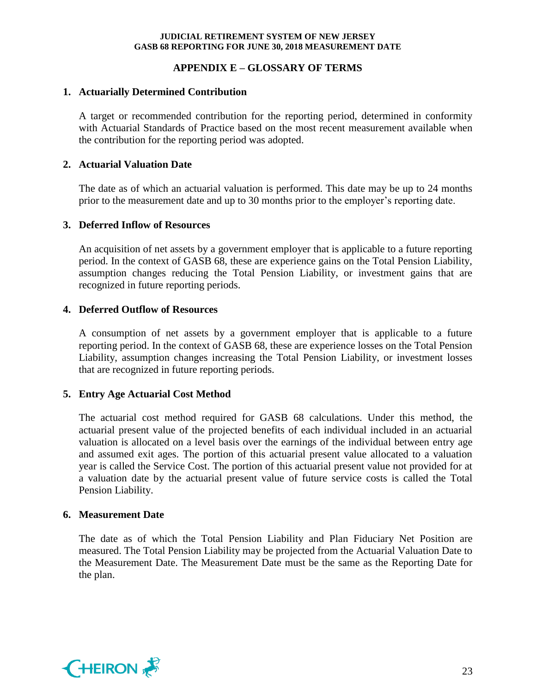# **APPENDIX E – GLOSSARY OF TERMS**

# **1. Actuarially Determined Contribution**

A target or recommended contribution for the reporting period, determined in conformity with Actuarial Standards of Practice based on the most recent measurement available when the contribution for the reporting period was adopted.

### **2. Actuarial Valuation Date**

The date as of which an actuarial valuation is performed. This date may be up to 24 months prior to the measurement date and up to 30 months prior to the employer's reporting date.

### **3. Deferred Inflow of Resources**

An acquisition of net assets by a government employer that is applicable to a future reporting period. In the context of GASB 68, these are experience gains on the Total Pension Liability, assumption changes reducing the Total Pension Liability, or investment gains that are recognized in future reporting periods.

# **4. Deferred Outflow of Resources**

A consumption of net assets by a government employer that is applicable to a future reporting period. In the context of GASB 68, these are experience losses on the Total Pension Liability, assumption changes increasing the Total Pension Liability, or investment losses that are recognized in future reporting periods.

# **5. Entry Age Actuarial Cost Method**

The actuarial cost method required for GASB 68 calculations. Under this method, the actuarial present value of the projected benefits of each individual included in an actuarial valuation is allocated on a level basis over the earnings of the individual between entry age and assumed exit ages. The portion of this actuarial present value allocated to a valuation year is called the Service Cost. The portion of this actuarial present value not provided for at a valuation date by the actuarial present value of future service costs is called the Total Pension Liability.

#### **6. Measurement Date**

The date as of which the Total Pension Liability and Plan Fiduciary Net Position are measured. The Total Pension Liability may be projected from the Actuarial Valuation Date to the Measurement Date. The Measurement Date must be the same as the Reporting Date for the plan.